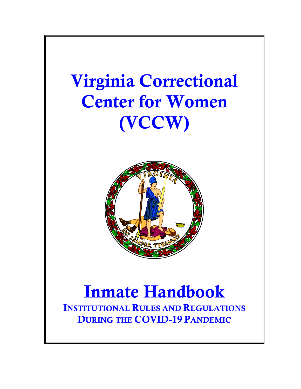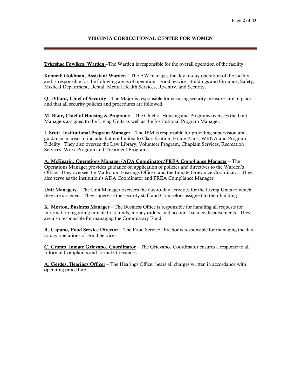# VIRGINIA CORRECTIONAL CENTER FOR WOMEN

Tykeshae Fowlkes, Warden –The Warden is responsible for the overall operation of the facility.

Kenneth Goldman, Assistant Warden – The AW manages the day-to-day operation of the facility, and is responsible for the following areas of operation: Food Service, Buildings and Grounds, Safety, Medical Department, Dental, Mental Health Services, Re-entry, and Security.

Q. Dillard, Chief of Security – The Major is responsible for ensuring security measures are in place and that all security policies and procedures are followed.

M. Blair, Chief of Housing & Programs – The Chief of Housing and Programs oversees the Unit Managers assigned to the Living Units as well as the Institutional Program Manager.

I. Scott, Institutional Program Manager – The IPM is responsible for providing supervision and guidance in areas to include, but not limited to Classification, Home Plans, WRNA and Program Fidelity. They also oversee the Law Library, Volunteer Program, Chaplain Services, Recreation Services, Work Program and Treatment Programs.

A. McKearin, Operations Manager/ADA Coordinator/PREA Compliance Manager – The Operations Manager provides guidance on application of policies and directives to the Warden's Office. They oversee the Mailroom, Hearings Officer, and the Inmate Grievance Coordinator. They also serve as the institution's ADA Coordinator and PREA Compliance Manager.

Unit Managers – The Unit Manager oversees the day-to-day activities for the Living Units to which they are assigned. They supervise the security staff and Counselors assigned to their building.

**K. Morton, Business Manager** – The Business Office is responsible for handling all requests for information regarding inmate trust funds, money orders, and account balance disbursements. They are also responsible for managing the Commissary Fund.

R. Capuno, Food Service Director – The Food Service Director is responsible for managing the dayto-day operations of Food Services.

C. Crump, Inmate Grievance Coordinator – The Grievance Coordinator ensures a response to all Informal Complaints and formal Grievances.

A. Gerdes, Hearings Officer – The Hearings Officer hears all charges written in accordance with operating procedure.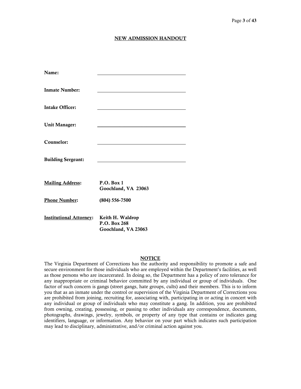#### NEW ADMISSION HANDOUT

| Name:                          |                                   |
|--------------------------------|-----------------------------------|
|                                |                                   |
| <b>Inmate Number:</b>          |                                   |
|                                |                                   |
| <b>Intake Officer:</b>         |                                   |
|                                |                                   |
| <b>Unit Manager:</b>           |                                   |
|                                |                                   |
| Counselor:                     |                                   |
| <b>Building Sergeant:</b>      |                                   |
|                                |                                   |
|                                |                                   |
| <b>Mailing Address:</b>        | P.O. Box 1<br>Goochland, VA 23063 |
|                                |                                   |
| <b>Phone Number:</b>           | $(804) 556 - 7500$                |
|                                |                                   |
| <b>Institutional Attorney:</b> | Keith H. Waldrop<br>P.O. Box 268  |
|                                | Goochland, VA 23063               |

#### **NOTICE**

The Virginia Department of Corrections has the authority and responsibility to promote a safe and secure environment for those individuals who are employed within the Department's facilities, as well as those persons who are incarcerated. In doing so, the Department has a policy of zero tolerance for any inappropriate or criminal behavior committed by any individual or group of individuals. One factor of such concern is gangs (street gangs, hate groups, cults) and their members. This is to inform you that as an inmate under the control or supervision of the Virginia Department of Corrections you are prohibited from joining, recruiting for, associating with, participating in or acting in concert with any individual or group of individuals who may constitute a gang. In addition, you are prohibited from owning, creating, possessing, or passing to other individuals any correspondence, documents, photographs, drawings, jewelry, symbols, or property of any type that contains or indicates gang identifiers, language, or information. Any behavior on your part which indicates such participation may lead to disciplinary, administrative, and/or criminal action against you.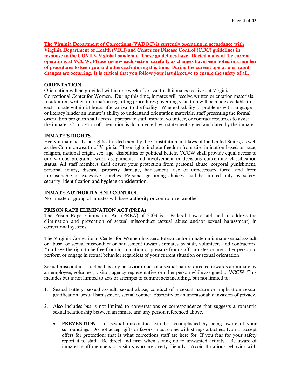The Virginia Department of Corrections (VADOC) is currently operating in accordance with Virginia Department of Health (VDH) and Center for Disease Control (CDC) guidelines in response to the COVID-19 global pandemic. These guidelines have affected many of the current operations at VCCW. Please review each section carefully as changes have been noted in a number of procedures to keep you and others safe during this time. During the current operations, rapid changes are occurring. It is critical that you follow your last directive to ensure the safety of all.

#### **ORIENTATION**

Orientation will be provided within one week of arrival to all inmates received at Virginia Correctional Center for Women. During this time, inmates will receive written orientation materials. In addition, written information regarding procedures governing visitation will be made available to each inmate within 24 hours after arrival to the facility. Where disability or problems with language or literacy hinder an inmate's ability to understand orientation materials, staff presenting the formal orientation program shall access appropriate staff, inmate, volunteer, or contract resources to assist the inmate. Completion of orientation is documented by a statement signed and dated by the inmate.

#### INMATE'S RIGHTS

Every inmate has basic rights afforded them by the Constitution and laws of the United States, as well as the Commonwealth of Virginia. These rights include freedom from discrimination based on race, religion, national origin, sex, age, disabilities or political beliefs. VCCW shall provide equal access to our various programs, work assignments, and involvement in decisions concerning classification status. All staff members shall ensure your protection from personal abuse, corporal punishment, personal injury, disease, property damage, harassment, use of unnecessary force, and from unreasonable or excessive searches. Personal grooming choices shall be limited only by safety, security, identification and hygiene consideration.

#### INMATE AUTHORITY AND CONTROL

No inmate or group of inmates will have authority or control over another.

#### PRISON RAPE ELIMINATION ACT (PREA)

The Prison Rape Elimination Act (PREA) of 2003 is a Federal Law established to address the elimination and prevention of sexual misconduct (sexual abuse and/or sexual harassment) in correctional systems.

The Virginia Correctional Center for Women has zero tolerance for inmate-on-inmate sexual assault or abuse, or sexual misconduct or harassment towards inmates by staff, volunteers and contractors. You have the right to be free from intimidation or pressure from staff, inmates or any other person to perform or engage in sexual behavior regardless of your current situation or sexual orientation.

Sexual misconduct is defined as any behavior or act of a sexual nature directed towards an inmate by an employee, volunteer, visitor, agency representative or other person while assigned to VCCW. This includes but is not limited to acts or attempts to commit acts including, but not limited to:

- 1. Sexual battery, sexual assault, sexual abuse, conduct of a sexual nature or implication sexual gratification, sexual harassment, sexual contact, obscenity or an unreasonable invasion of privacy.
- 2. Also includes but is not limited to conversations or correspondence that suggests a romantic sexual relationship between an inmate and any person referenced above.
	- **PREVENTION** of sexual misconduct can be accomplished by being aware of your surroundings. Do not accept gifts or favors: most come with strings attached. Do not accept offers for protection: that is what corrections staff are here for. If you fear for your safety report it to staff. Be direct and firm when saying no to unwanted activity. Be aware of inmates, staff members or visitors who are overly friendly. Avoid flirtatious behavior with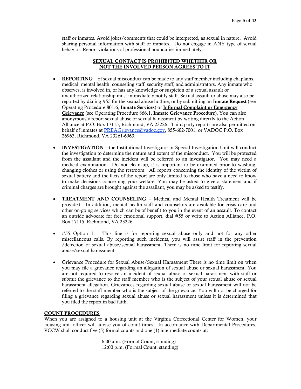staff or inmates. Avoid jokes/comments that could be interpreted, as sexual in nature. Avoid sharing personal information with staff or inmates. Do not engage in ANY type of sexual behavior. Report violations of professional boundaries immediately.

#### SEXUAL CONTACT IS PROHIBITED WHETHER OR NOT THE INVOLVED PERSON AGREES TO IT

- **REPORTING** of sexual misconduct can be made to any staff member including chaplains, medical, mental health, counseling staff, security staff, and administrators. Any inmate who observes, is involved in, or has any knowledge or suspicion of a sexual assault or unauthorized relationship must immediately notify staff. Sexual assault or abuse may also be reported by dialing #55 for the sexual abuse hotline, or by submitting an Inmate Request (see Operating Procedure 801.6, Inmate Services) or Informal Complaint or Emergency Grievance (see Operating Procedure 866.1, Inmate Grievance Procedure). You can also anonymously report sexual abuse or sexual harassment by writing directly to the Action Alliance at P.O. Box 17115, Richmond, VA 23226. Third party reports are also permitted on behalf of inmates at PRE[AGrievance@vadoc.gov,](mailto:Grievance@vadoc.gov) 855-602-7001, or VADOC P.O. Box 26963, Richmond, VA 23261-6963.
- INVESTIGATION the Institutional Investigator or Special Investigation Unit will conduct the investigation to determine the nature and extent of the misconduct. You will be protected from the assailant and the incident will be referred to an investigator. You may need a medical examination. Do not clean up, it is important to be examined prior to washing, changing clothes or using the restroom. All reports concerning the identity of the victim of sexual battery and the facts of the report are only limited to those who have a need to know to make decisions concerning your welfare. You may be asked to give a statement and if criminal charges are brought against the assailant, you may be asked to testify.
- **TREATMENT AND COUNSELING** Medical and Mental Health Treatment will be provided. In addition, mental health staff and counselors are available for crisis care and other on-going services which can be of benefit to you in the event of an assault. To contact an outside advocate for free emotional support, dial #55 or write to Action Alliance, P.O. Box 17115, Richmond, VA 23226.
- #55 Option 1: This line is for reporting sexual abuse only and not for any other miscellaneous calls. By reporting such incidents, you will assist staff in the prevention /detection of sexual abuse/sexual harassment. There is no time limit for reporting sexual abuse/sexual harassment.
- Grievance Procedure for Sexual Abuse/Sexual Harassment There is no time limit on when you may file a grievance regarding an allegation of sexual abuse or sexual harassment. You are not required to resolve an incident of sexual abuse or sexual harassment with staff or submit the grievance to the staff member who is the subject of your sexual abuse or sexual harassment allegation. Grievances regarding sexual abuse or sexual harassment will not be referred to the staff member who is the subject of the grievance. You will not be charged for filing a grievance regarding sexual abuse or sexual harassment unless it is determined that you filed the report in bad faith.

# COUNT PROCEDURES

When you are assigned to a housing unit at the Virginia Correctional Center for Women, your housing unit officer will advise you of count times. In accordance with Departmental Procedures, VCCW shall conduct five (5) formal counts and one (1) intermediate counts at:

> 6:00 a.m. (Formal Count, standing) 12:00 p.m. (Formal Count, standing)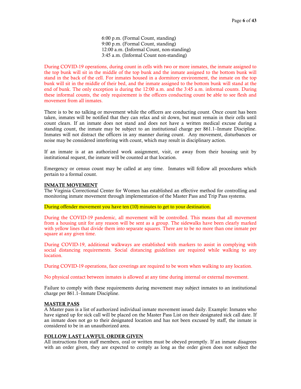6:00 p.m. (Formal Count, standing) 9:00 p.m. (Formal Count, standing) 12:00 a.m. (Informal Count, non-standing) 3:45 a.m. (Informal Count non-standing)

During COVID-19 operations, during count in cells with two or more inmates, the inmate assigned to the top bunk will sit in the middle of the top bunk and the inmate assigned to the bottom bunk will stand in the back of the cell. For inmates housed in a dormitory environment, the inmate on the top bunk will sit in the middle of their bed, and the inmate assigned to the bottom bunk will stand at the end of bunk. The only exception is during the 12:00 a.m. and the 3:45 a.m. informal counts. During these informal counts, the only requirement is the officers conducting count be able to see flesh and movement from all inmates.

There is to be no talking or movement while the officers are conducting count. Once count has been taken, inmates will be notified that they can relax and sit down, but must remain in their cells until count clears. If an inmate does not stand and does not have a written medical excuse during a standing count, the inmate may be subject to an institutional charge per 861.1–Inmate Discipline. Inmates will not distract the officers in any manner during count. Any movement, disturbances or noise may be considered interfering with count, which may result in disciplinary action.

If an inmate is at an authorized work assignment, visit, or away from their housing unit by institutional request, the inmate will be counted at that location.

Emergency or census count may be called at any time. Inmates will follow all procedures which pertain to a formal count.

#### INMATE MOVEMENT

The Virginia Correctional Center for Women has established an effective method for controlling and monitoring inmate movement through implementation of the Master Pass and Trip Pass systems.

During offender movement you have ten (10) minutes to get to your destination.

During the COVID-19 pandemic, all movement will be controlled. This means that all movement from a housing unit for any reason will be sent as a group. The sidewalks have been clearly marked with yellow lines that divide them into separate squares. There are to be no more than one inmate per square at any given time.

During COVID-19, additional walkways are established with markers to assist in complying with social distancing requirements. Social distancing guidelines are required while walking to any location.

During COVID-19 operations, face coverings are required to be worn when walking to any location.

No physical contact between inmates is allowed at any time during internal or external movement.

Failure to comply with these requirements during movement may subject inmates to an institutional charge per 861.1–Inmate Discipline.

#### MASTER PASS

A Master pass is a list of authorized individual inmate movement issued daily. Example: Inmates who have signed up for sick call will be placed on the Master Pass List on their designated sick call date. If an inmate does not go to their designated location and has not been excused by staff, the inmate is considered to be in an unauthorized area.

#### FOLLOW LAST LAWFUL ORDER GIVEN

All instructions from staff members, oral or written must be obeyed promptly. If an inmate disagrees with an order given, they are expected to comply as long as the order given does not subject the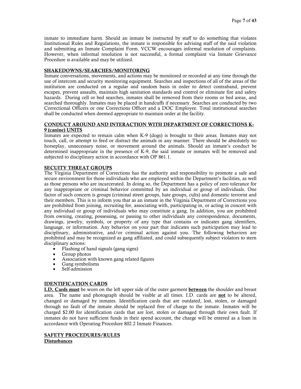inmate to immediate harm. Should an inmate be instructed by staff to do something that violates Institutional Rules and Regulations, the inmate is responsible for advising staff of the said violation and submitting an Inmate Complaint Form. VCCW encourages informal resolution of complaints. However, when informal resolution is not successful, a formal complaint via Inmate Grievance Procedure is available and may be utilized.

# SHAKEDOWNS/SEARCHES/MONITORING

Inmate conversations, movements, and actions may be monitored or recorded at any time through the use of intercom and security monitoring equipment. Searches and inspections of all of the areas of the institution are conducted on a regular and random basis in order to detect contraband, prevent escapes, prevent assaults, maintain high sanitation standards and control or eliminate fire and safety hazards. During cell or bed searches, inmates shall be removed from their rooms or bed areas, and searched thoroughly. Inmates may be placed in handcuffs if necessary. Searches are conducted by two Correctional Officers or one Corrections Officer and a DOC Employee. Total institutional searches shall be conducted when deemed appropriate to maintain order at the facility.

#### CONDUCT AROUND AND INTERACTION WITH DEPARTMENT OF CORRECTIONS K-9 (canine) UNITS

Inmates are expected to remain calm when K-9 (dogs) is brought to their areas. Inmates may not touch, call, or attempt to feed or distract the animals in any manner. There should be absolutely no horseplay, unnecessary noise, or movement around the animals. Should an inmate's conduct be determined inappropriate in the presence of K-9, the said inmate or inmates will be removed and subjected to disciplinary action in accordance with OP 861.1.

#### SECUITY THREAT GROUPS

The Virginia Department of Corrections has the authority and responsibility to promote a safe and secure environment for those individuals who are employed within the Department's facilities, as well as those persons who are incarcerated. In doing so, the Department has a policy of zero tolerance for any inappropriate or criminal behavior committed by an individual or group of individuals. One factor of such concern is groups (criminal street groups, hate groups, cults) and domestic terrorist and their members. This is to inform you that as an inmate in the Virginia Department of Corrections you are prohibited from joining, recruiting for, associating with, participating in, or acting in concert with any individual or group of individuals who may constitute a gang. In addition, you are prohibited from owning, creating, possessing, or passing to other individuals any correspondence, documents, drawings, jewelry, symbols, or property of any type that contains or indicates gang identifiers, language, or information. Any behavior on your part that indicates such participation may lead to disciplinary, administrative, and/or criminal action against you. The following behaviors are prohibited and may be recognized as gang affiliated, and could subsequently subject violators to stern disciplinary actions:

- Flashing of hand signals (gang signs)
- Group photos
- Association with known gang related figures
- Gang symbolisms
- Self-admission

#### IDENTIFICATION CARDS

**I.D. Cards must** be worn on the left upper side of the outer garment **between** the shoulder and breast area. The name and photograph should be visible at all times. I.D. cards are not to be altered, changed or damaged by inmates. Identification cards that are outdated, lost, stolen, or damaged through no fault of the inmate should be replaced free of charge to the inmate. Inmates will be charged \$2.00 for identification cards that are lost, stolen or damaged through their own fault. If inmates do not have sufficient funds in their spend account, the charge will be entered as a loan in accordance with Operating Procedure 802.2 Inmate Finances.

# SAFETY PROCEDURES/RULES

Disturbances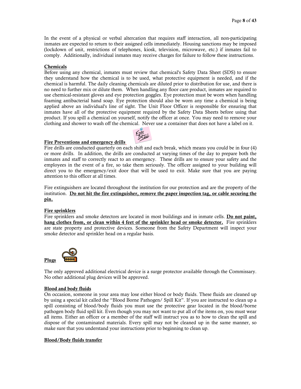# Chemicals

Before using any chemical, inmates must review that chemical's Safety Data Sheet (SDS) to ensure they understand how the chemical is to be used, what protective equipment is needed, and if the chemical is harmful. The daily cleaning chemicals are diluted prior to distribution for use, and there is no need to further mix or dilute them. When handling any floor care product, inmates are required to use chemical-resistant gloves and eye protection goggles. Eye protection must be worn when handling foaming antibacterial hand soap. Eye protection should also be worn any time a chemical is being applied above an individual's line of sight. The Unit Floor Officer is responsible for ensuring that inmates have all of the protective equipment required by the Safety Data Sheets before using that product. If you spill a chemical on yourself, notify the officer at once. You may need to remove your clothing and shower to wash off the chemical. Never use a container that does not have a label on it.

#### Fire Preventions and emergency drills



Fire drills are conducted quarterly on each shift and each break, which means you could be in four (4) or more drills. In addition, the drills are conducted at varying times of the day to prepare both the inmates and staff to correctly react to an emergency. These drills are to ensure your safety and the employees in the event of a fire, so take them seriously. The officer assigned to your building will direct you to the emergency/exit door that will be used to exit. Make sure that you are paying attention to this officer at all times.

Fire extinguishers are located throughout the institution for our protection and are the property of the institution. Do not hit the fire extinguisher, remove the paper inspection tag, or cable securing the pin.

#### Fire sprinklers

Fire sprinklers and smoke detectors are located in most buildings and in inmate cells. Do not paint, hang clothes from, or clean within 4 feet of the sprinkler head or smoke detector. Fire sprinklers are state property and protective devices. Someone from the Safety Department will inspect your smoke detector and sprinkler head on a regular basis.



The only approved additional electrical device is a surge protector available through the Commissary. No other additional plug devices will be approved.

#### Blood and body fluids

On occasion, someone in your area may lose either blood or body fluids. These fluids are cleaned up by using a special kit called the "Blood Borne Pathogen/ Spill Kit". If you are instructed to clean up a spill consisting of blood/body fluids you must use the protective gear located in the blood/borne pathogen body fluid spill kit. Even though you may not want to put all of the items on, you must wear all items. Either an officer or a member of the staff will instruct you as to how to clean the spill and dispose of the contaminated materials. Every spill may not be cleaned up in the same manner, so make sure that you understand your instructions prior to beginning to clean up.

#### Blood/Body fluids transfer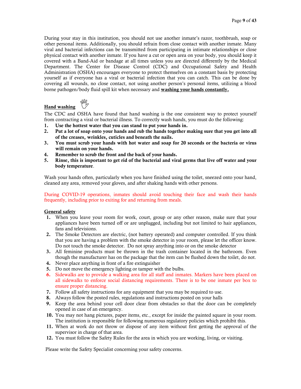During your stay in this institution, you should not use another inmate's razor, toothbrush, soap or other personal items. Additionally, you should refrain from close contact with another inmate. Many viral and bacterial infections can be transmitted from participating in intimate relationships or close physical contact with another inmate. If you have a cut or open area on your body, you should keep it covered with a Band-Aid or bandage at all times unless you are directed differently by the Medical Department. The Center for Disease Control (CDC) and Occupational Safety and Health Administration (OSHA) encourages everyone to protect themselves on a constant basis by protecting yourself as if everyone has a viral or bacterial infection that you can catch. This can be done by covering all wounds, no close contact, not using another person's personal items, utilizing a blood borne pathogen/body fluid spill kit when necessary and washing your hands constantly.



The CDC and OSHA have found that hand washing is the one consistent way to protect yourself from contracting a viral or bacterial illness. To correctly wash hands, you must do the following:

- 1. Use the hottest water that you can stand to put your hands in.
- 2. Put a lot of soap onto your hands and rub the hands together making sure that you get into all of the creases, wrinkles, cuticles and beneath the nails.
- 3. You must scrub your hands with hot water and soap for 20 seconds or the bacteria or virus will remain on your hands.
- 4. Remember to scrub the front and the back of your hands.
- 5. Rinse, this is important to get rid of the bacterial and viral germs that live off water and your body temperature.

Wash your hands often, particularly when you have finished using the toilet, sneezed onto your hand, cleaned any area, removed your gloves, and after shaking hands with other persons.

#### During COVID-19 operations, inmates should avoid touching their face and wash their hands frequently, including prior to exiting for and returning from meals.

## General safety

Hand washing

- 1. When you leave your room for work, court, group or any other reason, make sure that your appliances have been turned off or are unplugged, including but not limited to hair appliances, fans and televisions.
- 2. The Smoke Detectors are electric, (not battery operated) and computer controlled. If you think that you are having a problem with the smoke detector in your room, please let the officer know. Do not touch the smoke detector. Do not spray anything into or on the smoke detector
- 3. All feminine products must be thrown in the trash container located in the bathroom. Even though the manufacturer has on the package that the item can be flushed down the toilet, do not.
- 4. Never place anything in front of a fire extinguisher
- 5. Do not move the emergency lighting or tamper with the bulbs.
- 6. Sidewalks are to provide a walking area for all staff and inmates. Markers have been placed on all sidewalks to enforce social distancing requirements. There is to be one inmate per box to ensure proper distancing.
- 7. Follow all safety instructions for any equipment that you may be required to use.
- 8. Always follow the posted rules, regulations and instructions posted on your halls
- 9. Keep the area behind your cell door clear from obstacles so that the door can be completely opened in case of an emergency.
- 10. You may not hang pictures, paper items, etc., except for inside the painted square in your room. The institution is responsible for following numerous regulatory policies which prohibit this.
- 11. When at work do not throw or dispose of any item without first getting the approval of the supervisor in charge of that area.
- 12. You must follow the Safety Rules for the area in which you are working, living, or visiting.

Please write the Safety Specialist concerning your safety concerns.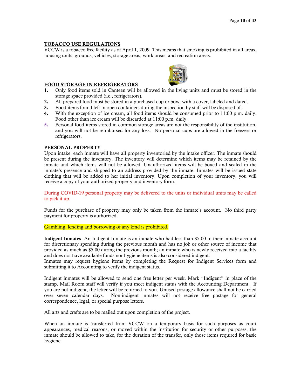#### TOBACCO USE REGULATIONS

VCCW is a tobacco free facility as of April 1, 2009. This means that smoking is prohibited in all areas, housing units, grounds, vehicles, storage areas, work areas, and recreation areas.

#### FOOD STORAGE IN REFRIGERATORS



- 2. All prepared food must be stored in a purchased cup or bowl with a cover, labeled and dated.
- 3. Food items found left in open containers during the inspection by staff will be disposed of.
- 4. With the exception of ice cream, all food items should be consumed prior to 11:00 p.m. daily. Food other than ice cream will be discarded at 11:00 p.m. daily.
- 5. Personal food items stored in common storage areas are not the responsibility of the institution, and you will not be reimbursed for any loss. No personal cups are allowed in the freezers or refrigerators.

#### PERSONAL PROPERTY

Upon intake, each inmate will have all property inventoried by the intake officer. The inmate should be present during the inventory. The inventory will determine which items may be retained by the inmate and which items will not be allowed. Unauthorized items will be boxed and sealed in the inmate's presence and shipped to an address provided by the inmate. Inmates will be issued state clothing that will be added to her initial inventory. Upon completion of your inventory, you will receive a copy of your authorized property and inventory form.

During COVID-19 personal property may be delivered to the units or individual units may be called to pick it up.

Funds for the purchase of property may only be taken from the inmate's account. No third party payment for property is authorized.

Gambling, lending and borrowing of any kind is prohibited.

Indigent Inmates- An Indigent Inmate is an inmate who had less than \$5.00 in their inmate account for discretionary spending during the previous month and has no job or other source of income that provided as much as \$5.00 during the previous month; an inmate who is newly received into a facility and does not have available funds nor hygiene items is also considered indigent.

Inmates may request hygiene items by completing the Request for Indigent Services form and submitting it to Accounting to verify the indigent status.

Indigent inmates will be allowed to send one free letter per week. Mark "Indigent" in place of the stamp. Mail Room staff will verify if you meet indigent status with the Accounting Department. If you are not indigent, the letter will be returned to you. Unused postage allowance shall not be carried over seven calendar days. Non-indigent inmates will not receive free postage for general correspondence, legal, or special purpose letters.

All arts and crafts are to be mailed out upon completion of the project.

When an inmate is transferred from VCCW on a temporary basis for such purposes as court appearances, medical reasons, or moved within the institution for security or other purposes, the inmate should be allowed to take, for the duration of the transfer, only those items required for basic hygiene.

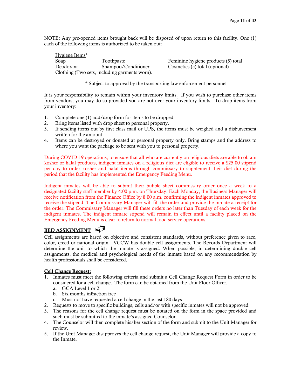NOTE: Any pre-opened items brought back will be disposed of upon return to this facility. One (1) each of the following items is authorized to be taken out:

Hygiene Items\* Soap Toothpaste Feminine hygiene products (5) total Deodorant Shampoo/Conditioner Cosmetics (5) total (optional) Clothing (Two sets, including garments worn).

\* Subject to approval by the transporting law enforcement personnel

It is your responsibility to remain within your inventory limits. If you wish to purchase other items from vendors, you may do so provided you are not over your inventory limits. To drop items from your inventory:

- 1. Complete one (1) add/drop form for items to be dropped.
- 2. Bring items listed with drop sheet to personal property.
- 3. If sending items out by first class mail or UPS, the items must be weighed and a disbursement written for the amount.
- 4. Items can be destroyed or donated at personal property only. Bring stamps and the address to where you want the package to be sent with you to personal property.

During COVID-19 operations, to ensure that all who are currently on religious diets are able to obtain kosher or halal products, indigent inmates on a religious diet are eligible to receive a \$25.00 stipend per day to order kosher and halal items through commissary to supplement their diet during the period that the facility has implemented the Emergency Feeding Menu.

Indigent inmates will be able to submit their bubble sheet commissary order once a week to a designated facility staff member by 4:00 p.m. on Thursday. Each Monday, the Business Manager will receive notification from the Finance Office by 8:00 a.m. confirming the indigent inmates approved to receive the stipend. The Commissary Manager will fill the order and provide the inmate a receipt for the order. The Commissary Manager will fill these orders no later than Tuesday of each week for the indigent inmates. The indigent inmate stipend will remain in effect until a facility placed on the Emergency Feeding Menu is clear to return to normal food service operations.

# **BED ASSIGNMENT**

Cell assignments are based on objective and consistent standards, without preference given to race, color, creed or national origin. VCCW has double cell assignments. The Records Department will determine the unit to which the inmate is assigned. When possible, in determining double cell assignments, the medical and psychological needs of the inmate based on any recommendation by health professionals shall be considered.

# Cell Change Request:

- 1. Inmates must meet the following criteria and submit a Cell Change Request Form in order to be considered for a cell change. The form can be obtained from the Unit Floor Officer.
	- a. GCA Level 1 or 2
	- b. Six months infraction free
	- c. Must not have requested a cell change in the last 180 days
- 2. Requests to move to specific buildings, cells and/or with specific inmates will not be approved.
- 3. The reasons for the cell change request must be notated on the form in the space provided and such must be submitted to the inmate's assigned Counselor.
- 4. The Counselor will then complete his/her section of the form and submit to the Unit Manager for review.
- 5. If the Unit Manager disapproves the cell change request, the Unit Manager will provide a copy to the Inmate.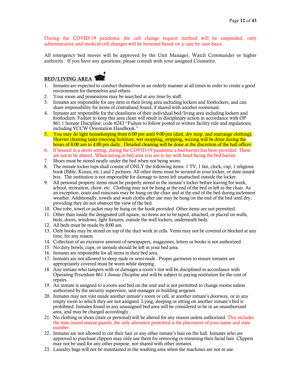During the COVID-19 pandemic the cell change request method will be suspended, only administrative and medical cell changes will be honored based on a case by case basis.

All emergency bed moves will be approved by the Unit Manager, Watch Commander or higher authority. If you have any questions, please consult with your assigned Counselor.

# BED/LIVING AREA **THE**

- 1. Inmates are expected to conduct themselves in an orderly manner at all times in order to create a good environment for themselves and others.
- 2. Your room and possessions may be searched at any time by staff.
- 3. Inmates are responsible for any item in their living area including lockers and footlockers, and can share responsibility for items of contraband found, if shared with another roommate.
- 4. Inmates are responsible for the cleanliness of their individual bed/living area including lockers and footlockers. Failure to keep this area clean will result in disciplinary action in accordance with OP 861.1 Inmate Discipline; code #243 "Failure to follow posted or written facility rule and regulations, including VCCW Orientation Handbook."
- 5. You may do light housekeeping from 6:00 pm until 9:00 pm (dust, dry mop, and rearrange clothing). Heavier cleaning tasks (moving furniture, wet mopping, stripping, waxing will be done during the hours of 8:00 am to 4:00 pm daily. Detailed cleaning will be done at the discretion of the hall officer.
- 6. If housed in a dorm setting, during the COVID-19 pandemic a bed barrier has been provided. These are not to be altered. When laying in bed area you are to lay with head facing the bed barrier.
- 7. Shoes must be stored neatly under the bed when not being worn.
- 8. The inmate locker tops shall consist of ONLY the following items: 1 TV, 1 fan, clock, cup, 1 religious book (Bible, Koran, etc.) and 2 pictures. All other items must be secured in your locker, or state issued box. The institution is not responsible for damage to items left unattached outside the locker.
- 9. All personal property items must be properly stored in the inmate's locker before leaving for work, school, recreation, chow, etc. Clothing may not be hung at the end of the bed or left in the chair. As an exception, coats and raincoats may be hung on the chair and at the end of the bed during inclement weather. Additionally, towels and wash cloths after use may be hung on the end of the bed until dry, providing they do not obstruct the view of the bed.
- 10. One robe, towel or jacket may be hung on the hook provided. Other items are not permitted.
- 11. Other than inside the designated cell square, no items are to be taped, attached, or placed on walls, beds, doors, windows, light fixtures, outside the wall lockers, underneath beds.
- 12. All beds must be made by 8:00 am.
- 13. Only books may be stored on top of the duct work in cells. Vents may not be covered or blocked at any time, for any reason.
- 14. Collection of an excessive amount of newspapers, magazines, letters or books is not authorized.
- 15. No dirty bowls, cups, or utensils should be left in your bed area.
- 16. Inmates are responsible for all items in their bed area.
- 17. Inmates are not allowed to sleep nude or semi-nude. Proper garments to ensure inmates are appropriately covered must be worn while sleeping.
- 18. Any inmate who tampers with or damages a room's tint will be disciplined in accordance with Operating Procedure 861.1 *Inmate Discipline* and will be subject to paying restitution for the cost of repairs.
- 19. An inmate is assigned to a room and bed on the unit and is not permitted to change rooms unless authorized by the security supervisor, unit manager or building sergeant.
- 20. Inmates may not visit inside another inmate's room or cell, at another inmate's doorway, or in any empty room to which they are not assigned. Lying, sleeping or sitting on another inmate's bed is prohibited. Inmates found in any unassigned bed area will be considered to be in an unauthorized area, and may be charged accordingly.
- 21. No clothing or shoes (state or personal) will be altered for any reason unless authorized. This includes the state issued sneeze guards, the only alteration permitted is the placement of your name and state number.
- 22. Inmates are not allowed to cut their hair or any other inmate's hair on the hall. Inmates who are approved to purchase clippers may only use them for removing or trimming their facial hair. Clippers may not be used for any other purpose, nor shared with other inmates.
- 23. Laundry bags will not be maintained in the washing area when the machines are not in use.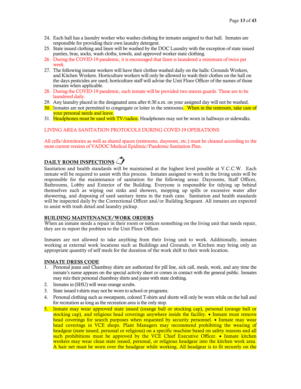- 24. Each hall has a laundry worker who washes clothing for inmates assigned to that hall. Inmates are responsible for providing their own laundry detergent.
- 25. State issued clothing and linen will be washed by the DOC Laundry with the exception of state issued panties, bras, socks, wash cloths, towels, and approved worker state clothing.
- 26. During the COVID-19 pandemic, it is encouraged that linen is laundered a minimum of twice per week.
- 27. The following inmate workers will have their clothes washed daily on the halls: Grounds Workers, and Kitchen Workers. Horticulture workers will only be allowed to wash their clothes on the hall on the days pesticides are used; horticulture staff will advise the Unit Floor Officer of the names of those inmates when applicable.
- 28. During the COVID-19 pandemic, each inmate will be provided two sneeze guards. These are to be laundered daily.
- 29. Any laundry placed in the designated area after 6:30 a.m. on your assigned day will not be washed.
- 30. Inmates are not permitted to congregate or loiter in the restrooms. When in the restroom, take care of your personal needs and leave.
- 31. Headphones must be used with TV/radios. Headphones may not be worn in hallways or sidewalks.

#### LIVING AREA SANITATION PROTOCOLS DURING COVID-19 OPERATIONS

All cells/dormitories as well as shared spaces (restrooms, dayroom, etc.) must be cleaned according to the most current version of VADOC Medical Epidimic/Pandemic Sanitation Plan.

# DAILY ROOM INSPECTIONS  $\sqrt{\phantom{a}}$

Sanitation and health standards will be maintained at the highest level possible at V.C.C.W. Each inmate will be required to assist with this process. Inmates assigned to work in the living units will be responsible for the maintenance of sanitation for the following areas: Dayrooms, Staff Offices, Bathrooms, Lobby and Exterior of the Building. Everyone is responsible for tidying up behind themselves such as wiping out sinks and showers, mopping up spills or excessive water after showering, and disposing of used sanitary items in the trash cans. Sanitation and health standards will be inspected daily by the Correctional Officer and/or Building Sergeant. All inmates are expected to assist with trash detail and laundry pickup.

#### BUILDING MAINTENANCE/WORK ORDERS

When an inmate needs a repair in their room or notices something on the living unit that needs repair, they are to report the problem to the Unit Floor Officer.

Inmates are not allowed to take anything from their living unit to work. Additionally, inmates working at external work locations such as Buildings and Grounds, or Kitchen may bring only an appropriate quantity of self meds for the duration of the work shift to their work location.

#### INMATE DRESS CODE

- 1. Personal jeans and Chambray shirts are authorized for pill line, sick call, meals, work, and any time the inmate's name appears on the special activity sheet or comes in contact with the general public. Inmates may mix their personal chambray shirts and jeans with state clothing.
- 2. Inmates in (SHU) will wear orange scrubs.
- 3. State issued t-shirts may not be worn to school or programs.
- 4. Personal clothing such as sweatpants, colored T-shirts and shorts will only be worn while on the hall and for recreation as long as the recreation area is the only stop.
- 5. Inmate may wear approved state issued (orange ball or stocking cap), personal (orange ball or stocking cap), and religious head coverings anywhere inside the facility. • Inmate must remove head coverings for search purposes when requested by security personnel. • Inmate may wear head coverings in VCE shops. Plant Managers may recommend prohibiting the wearing of headgear (state issued, personal or religious) on a specific machine based on safety reasons and all such prohibitions must be approved by the VCE Chief Executive Officer. • Inmate kitchen workers may wear clean state issued, personal, or religious headgear into the kitchen work area. A hair net must be worn over the headgear while working. All headgear is to fit securely on the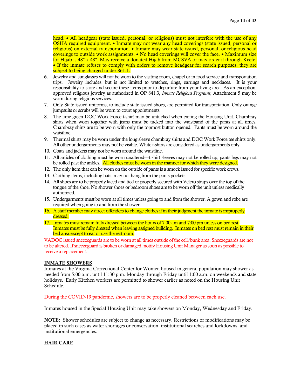head. • All headgear (state issued, personal, or religious) must not interfere with the use of any OSHA required equipment. • Inmate may not wear any head coverings (state issued, personal or religious) on external transportation. • Inmate may wear state issued, personal, or religious head coverings to outside work assignments. • No head coverings will cover the face. • Maximum size for Hijab is 48" x 48". May receive a donated Hijab from MCSVA or may order it through Keefe. • If the inmate refuses to comply with orders to remove headgear for search purposes, they are subject to being charged under 861.1.

- 6. Jewelry and sunglasses will not be worn to the visiting room, chapel or in food service and transportation trips. Jewelry includes, but is not limited to watches, rings, earrings and necklaces. It is your responsibility to store and secure these items prior to departure from your living area. As an exception, approved religious jewelry as authorized in OP 841.3, *Inmate Religious Programs*, Attachment 5 may be worn during religious services.
- 7. Only State issued uniforms, to include state issued shoes, are permitted for transportation. Only orange jumpsuits or scrubs will be worn to court appointments.
- 8. The lime green DOC Work Force t-shirt may be untucked when exiting the Housing Unit. Chambray shirts when worn together with jeans must be tucked into the waistband of the pants at all times. Chambray shirts are to be worn with only the topmost button opened. Pants must be worn around the waistline.
- 9. Thermal shirts may be worn under the long sleeve chambray shirts and DOC Work Force tee shirts only. All other undergarments may not be visible. White t-shirts are considered as undergarments only.
- 10. Coats and jackets may not be worn around the waistline.
- 11. All articles of clothing must be worn unaltered—t-shirt sleeves may not be rolled up, pants legs may not be rolled past the ankles. All clothes must be worn in the manner for which they were designed.
- 12. The only item that can be worn on the outside of pants is a smock issued for specific work crews.
- 13. Clothing items, including hats, may not hang from the pants pockets.
- 14. All shoes are to be properly laced and tied or properly secured with Velcro straps over the top of the tongue of the shoe. No shower shoes or bedroom shoes are to be worn off the unit unless medically authorized.
- 15. Undergarments must be worn at all times unless going to and from the shower. A gown and robe are required when going to and from the shower.
- 16. A staff member may direct offenders to change clothes if in their judgment the inmate is improperly dressed.
- 17. Inmates must remain fully dressed between the hours of 7:00 am and 7:00 pm unless on bed rest. Inmates must be fully dressed when leaving assigned building. Inmates on bed rest must remain in their bed area except to eat or use the restroom.

VADOC issued sneezeguards are to be worn at all times outside of the cell/bunk area. Sneezeguards are not to be altered. If sneezeguard is broken or damaged, notify Housing Unit Manager as soon as possible to receive a replacement.

#### INMATE SHOWERS

Inmates at the Virginia Correctional Center for Women housed in general population may shower as needed from 5:00 a.m. until 11:30 p.m. Monday through Friday until 1:00 a.m. on weekends and state holidays. Early Kitchen workers are permitted to shower earlier as noted on the Housing Unit Schedule.

During the COVID-19 pandemic, showers are to be properly cleaned between each use.

Inmates housed in the Special Housing Unit may take showers on Monday, Wednesday and Friday.

NOTE: Shower schedules are subject to change as necessary. Restrictions or modifications may be placed in such cases as water shortages or conservation, institutional searches and lockdowns, and institutional emergencies.

#### HAIR CARE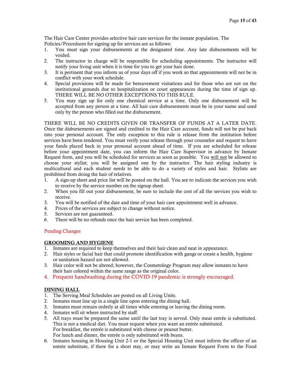The Hair Care Center provides selective hair care services for the inmate population. The Policies/Procedures for signing up for services are as follows:

- 1. You must sign your disbursements at the designated time. Any late disbursements will be voided.
- 2. The instructor in charge will be responsible for scheduling appointments. The instructor will notify your living unit when it is time for you to get your hair done.
- 3. It is pertinent that you inform us of your days off if you work so that appointments will not be in conflict with your work schedule.
- 4. Special provisions will be made for bereavement visitations and for those who are not on the institutional grounds due to hospitalization or court appearances during the time of sign up. THERE WILL BE NO OTHER EXCEPTIONS TO THIS RULE.
- 5. You may sign up for only one chemical service at a time. Only one disbursement will be accepted from any person at a time. All hair care disbursements must be in your name and used only by the person who filled out the disbursement.

THERE WILL BE NO CREDITS GIVEN OR TRANSFER OF FUNDS AT A LATER DATE. Once the disbursements are signed and credited to the Hair Care account, funds will not be put back into your personal account. The only exception to this rule is release from the institution before services have been rendered. You must verify your release through your counselor and request to have your funds placed back in your personal account ahead of time. If you are scheduled for release before your appointment date, you can inform the Hair Care Supervisor in advance by Inmate Request form, and you will be scheduled for services as soon as possible. You will not be allowed to choose your stylist; you will be assigned one by the instructor. The hair styling industry is multicultural and each student needs to be able to do a variety of styles and hair. Stylists are prohibited from doing the hair of relatives.

- 1. A sign-up sheet and price list will be posted on the hall. You are to indicate the services you wish to receive by the service number on the signup sheet.
- 2. When you fill out your disbursement, be sure to include the cost of all the services you wish to receive.
- 3. You will be notified of the date and time of your hair care appointment well in advance.
- 4. Prices of the services are subject to change without notice.
- 5. Services are not guaranteed.
- 6. There will be no refunds once the hair service has been completed.

# Pending Changes

# GROOMING AND HYGIENE

- 1. Inmates are required to keep themselves and their hair clean and neat in appearance.
- 2. Hair styles or facial hair that could promote identification with gangs or create a health, hygiene or sanitation hazard are not allowed.
- 3. Hair color will not be altered; however, the Cosmetology Program may allow inmates to have their hair colored within the same range as the original color.
- 4. Frequent handwashing during the COVID-19 pandemic is strongly encouraged.

# DINING HALL

- 1. The Serving Meal Schedules are posted on all Living Units.
- 2. Inmates must line up in a single line upon entering the dining hall.
- 3. Inmates must remain orderly at all times while entering or leaving the dining room.
- 4. Inmates will sit where instructed by staff.
- 5. All trays must be prepared the same until the last tray is served. Only meat entrée is substituted. This is not a medical diet. You must request when you want an entrée substituted. For breakfast, the entrée is substituted with cheese or peanut butter. For lunch and dinner, the entrée is only substituted with beans.
- 6. Inmates housing in Housing Unit 2-1 or the Special Housing Unit must inform the officer of an entrée substitute, if there for a short stay, or may write an Inmate Request Form to the Food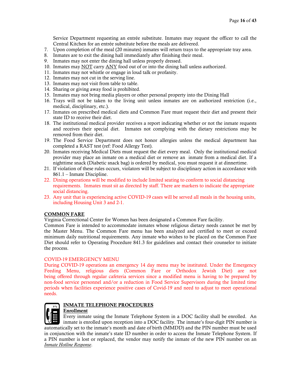Service Department requesting an entrée substitute. Inmates may request the officer to call the Central Kitchen for an entrée substitute before the meals are delivered.

- 7. Upon completion of the meal (20 minutes) inmates will return trays to the appropriate tray area.
- 8. Inmates are to exit the dining hall immediately after finishing their meal.
- 9. Inmates may not enter the dining hall unless properly dressed.
- 10. Inmates may NOT carry ANY food out of or into the dining hall unless authorized.
- 11. Inmates may not whistle or engage in loud talk or profanity.
- 12. Inmates may not cut in the serving line.
- 13. Inmates may not visit from table to table.
- 14. Sharing or giving away food is prohibited.
- 15. Inmates may not bring media players or other personal property into the Dining Hall
- 16. Trays will not be taken to the living unit unless inmates are on authorized restriction (i.e., medical, disciplinary, etc.).
- 17. Inmates on prescribed medical diets and Common Fare must request their diet and present their state ID to receive their diet.
- 18. The institutional medical provider receives a report indicating whether or not the inmate requests and receives their special diet. Inmates not complying with the dietary restrictions may be removed from their diet.
- 19. The Food Service Department does not honor allergies unless the medical department has completed a RAST test (ref: Food Allergy Test).
- 20. Inmates receiving Medical Diets must request the diet every meal. Only the institutional medical provider may place an inmate on a medical diet or remove an inmate from a medical diet. If a nighttime snack (Diabetic snack bag) is ordered by medical, you must request it at dinnertime.
- 21. If violation of these rules occurs, violators will be subject to disciplinary action in accordance with 861.1 – Inmate Discipline.
- 22. Dining operations will be modified to include limited seating to conform to social distancing requirements. Inmates must sit as directed by staff. There are markers to indicate the appropriate social distancing.
- 23. Any unit that is experiencing active COVID-19 cases will be served all meals in the housing units, including Housing Unit 3 and 2-1.

# COMMON FARE

Virginia Correctional Center for Women has been designated a Common Fare facility.

Common Fare is intended to accommodate inmates whose religious dietary needs cannot be met by the Master Menu. The Common Fare menu has been analyzed and certified to meet or exceed minimum daily nutritional requirements. Any inmate who wishes to be placed on the Common Fare Diet should refer to Operating Procedure 841.3 for guidelines and contact their counselor to initiate the process.

#### COVID-19 EMERGENCY MENU

During COVID-19 operations an emergency 14 day menu may be instituted. Under the Emergency Feeding Menu, religious diets (Common Fare or Orthodox Jewish Diet) are not being offered through regular cafeteria services since a modified menu is having to be prepared by non-food service personnel and/or a reduction in Food Service Supervisors during the limited time periods when facilities experience positive cases of Covid-19 and need to adjust to meet operational needs.



# INMATE TELEPHONE PROCEDURES

#### Enrollment

Every inmate using the Inmate Telephone System in a DOC facility shall be enrolled. An inmate is enrolled upon reception into a DOC facility. The inmate's four-digit PIN number is automatically set to the inmate's month and date of birth (MMDD) and the PIN number must be used in conjunction with the inmate's state ID number in order to access the Inmate Telephone System. If a PIN number is lost or replaced, the vendor may notify the inmate of the new PIN number on an *Inmate [Hotline Response](http://docnet/virtuallibrary_v1/new_directives/inst_sec_control_40/440_Fac_Sec_Mgmt/440_Current/440_F12.doc)*.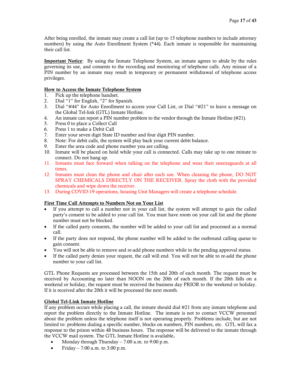After being enrolled, the inmate may create a call list (up to 15 telephone numbers to include attorney numbers) by using the Auto Enrollment System (\*44). Each inmate is responsible for maintaining their call list.

Important Notice: By using the Inmate Telephone System, an inmate agrees to abide by the rules governing its use, and consents to the recording and monitoring of telephone calls. Any misuse of a PIN number by an inmate may result in temporary or permanent withdrawal of telephone access privileges.

# How to Access the Inmate Telephone System

- 1. Pick up the telephone handset.<br>2. Dial "1" for English, "2" for Sp
- Dial "1" for English, "2" for Spanish.
- 3. Dial "#44" for Auto Enrollment to access your Call List, or Dial "#21" to leave a message on the Global Tel-link (GTL) Inmate Hotline.
- 4. An inmate can report a PIN number problem to the vendor through the Inmate Hotline (#21).
- 5. Press 0 to place a Collect Call
- 6. Press 1 to make a Debit Call
- 7. Enter your seven digit State ID number and four digit PIN number.
- 8. Note: For debit calls, the system will play back your current debit balance.
- 9. Enter the area code and phone number you are calling.
- 10. Inmate will be placed on hold while your call is connected. Calls may take up to one minute to connect. Do not hang up.
- 11. Inmates must face forward when talking on the telephone and wear their sneezeguards at all times.
- 12. Inmates must clean the phone and chair after each use. When cleaning the phone, DO NOT SPRAY CHEMICALS DIRECTLY ON THE RECEIVER. Spray the cloth with the provided chemicals and wipe down the receiver.
- 13. During COVID-19 operations, housing Unit Managers will create a telephone schedule.

# First Time Call Attempts to Numbers Not on Your List

- If you attempt to call a number not in your call list, the system will attempt to gain the called party's consent to be added to your call list. You must have room on your call list and the phone number must not be blocked.
- If the called party consents, the number will be added to your call list and processed as a normal call.
- If the party does not respond, the phone number will be added to the outbound calling queue to gain consent.
- You will not be able to remove and re-add phone numbers while in the pending approval status.
- If the called party denies your request, the call will end. You will not be able to re-add the phone number to your call list.

GTL Phone Requests are processed between the 15th and 20th of each month. The request must be received by Accounting no later than NOON on the 20th of each month. If the 20th falls on a weekend or holiday, the request must be received the business day PRIOR to the weekend or holiday. If it is received after the 20th it will be processed the next month.

#### Global Tel-Link Inmate Hotline

If any problem occurs while placing a call, the inmate should dial #21 from any inmate telephone and report the problem directly to the Inmate Hotline. The inmate is not to contact VCCW personnel about the problem unless the telephone itself is not operating properly. Problems include, but are not limited to: problems dialing a specific number, blocks on numbers, PIN numbers, etc. GTL will fax a response to the prison within 48 business hours. The response will be delivered to the inmate through the VCCW mail system. The GTL Inmate Hotline is available.

- Monday through Thursday 7:00 a.m. to 9:00 p.m.
- Friday 7:00 a.m. to 3:00 p.m.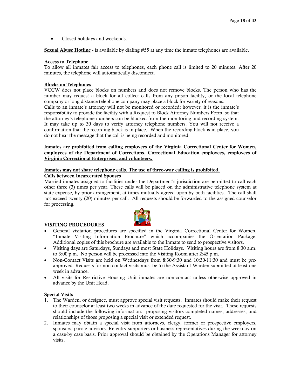• Closed holidays and weekends.

Sexual Abuse Hotline - is available by dialing #55 at any time the inmate telephones are available.

## Access to Telephone

To allow all inmates fair access to telephones, each phone call is limited to 20 minutes. After 20 minutes, the telephone will automatically disconnect.

## Blocks on Telephones

VCCW does not place blocks on numbers and does not remove blocks. The person who has the number may request a block for all collect calls from any prison facility, or the local telephone company or long distance telephone company may place a block for variety of reasons. Calls to an inmate's attorney will not be monitored or recorded; however, it is the inmate's responsibility to provide the facility with a Request to Block Attorney Numbers Form, so that the attorney's telephone numbers can be blocked from the monitoring and recording system. It may take up to 30 days to verify attorney telephone numbers. You will not receive a confirmation that the recording block is in place. When the recording block is in place, you do not hear the message that the call is being recorded and monitored.

## Inmates are prohibited from calling employees of the Virginia Correctional Center for Women, employees of the Department of Corrections, Correctional Education employees, employees of Virginia Correctional Enterprises, and volunteers.

# Inmates may not share telephone calls. The use of three-way calling is prohibited.

# Calls between Incarcerated Spouses

Married inmates assigned to facilities under the Department's jurisdiction are permitted to call each other three (3) times per year. These calls will be placed on the administrative telephone system at state expense, by prior arrangement, at times mutually agreed upon by both facilities. The call shall not exceed twenty (20) minutes per call. All requests should be forwarded to the assigned counselor for processing.



#### VISITING PROCEDURES

- General visitation procedures are specified in the Virginia Correctional Center for Women, "Inmate Visiting Information Brochure" which accompanies the Orientation Package. Additional copies of this brochure are available to the Inmate to send to prospective visitors.
- Visiting days are Saturdays, Sundays and most State Holidays. Visiting hours are from 8:30 a.m. to 3:00 p.m. No person will be processed into the Visiting Room after 2:45 p.m.
- Non-Contact Visits are held on Wednesdays from 8:30-9:30 and 10:30-11:30 and must be preapproved. Requests for non-contact visits must be to the Assistant Warden submitted at least one week in advance.
- All visits for Restrictive Housing Unit inmates are non-contact unless otherwise approved in advance by the Unit Head.

# Special Visits

- 1. The Warden, or designee, must approve special visit requests. Inmates should make their request to their counselor at least two weeks in advance of the date requested for the visit. These requests should include the following information: proposing visitors completed names, addresses, and relationships of those proposing a special visit or extended request.
- 2. Inmates may obtain a special visit from attorneys, clergy, former or prospective employers, sponsors, parole advisors. Re-entry supporters or business representatives during the weekday on a case-by case basis. Prior approval should be obtained by the Operations Manager for attorney visits.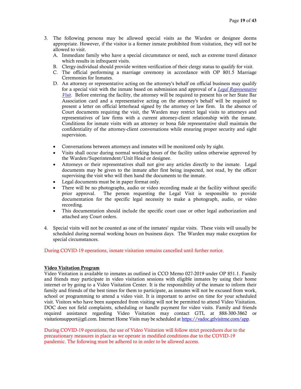- 3. The following persons may be allowed special visits as the Warden or designee deems appropriate. However, if the visitor is a former inmate prohibited from visitation, they will not be allowed to visit.
	- A. Immediate family who have a special circumstance or need, such as extreme travel distance which results in infrequent visits.
	- B. Clergy-individual should provide written verification of their clergy status to qualify for visit.
	- C. The official performing a marriage ceremony in accordance with OP 801.5 Marriage Ceremonies for Inmates.
	- D. An attorney or representative acting on the attorney's behalf on official business may qualify for a special visit with the inmate based on submission and approval of a *[Legal Representative](http://docnet/VirtualLibrary_v1/800_Offender_mgt_programs/851_Offender_Visit/851_Current/851_F3.doc)  [Visit](http://docnet/VirtualLibrary_v1/800_Offender_mgt_programs/851_Offender_Visit/851_Current/851_F3.doc)*. Before entering the facility, the attorney will be required to present his or her State Bar Association card and a representative acting on the attorney's behalf will be required to present a letter on official letterhead signed by the attorney or law firm. In the absence of Court documents requiring the visit, the Warden may restrict legal visits to attorneys and representatives of law firms with a current attorney-client relationship with the inmate. Conditions for inmate visits with an attorney or bona fide representative shall maintain the confidentiality of the attorney-client conversations while ensuring proper security and sight supervision.
	- Conversations between attorneys and inmates will be monitored only by sight.
	- Visits shall occur during normal working hours of the facility unless otherwise approved by the Warden/Superintendent/Unit Head or designee.
	- Attorneys or their representatives shall not give any articles directly to the inmate. Legal documents may be given to the inmate after first being inspected, not read, by the officer supervising the visit who will then hand the documents to the inmate.
	- Legal documents must be in paper format only.
	- There will be no photographs, audio or video recording made at the facility without specific prior approval. The person requesting the Legal Visit is responsible to provide documentation for the specific legal necessity to make a photograph, audio, or video recording.
	- This documentation should include the specific court case or other legal authorization and attached any Court orders.
- 4. Special visits will not be counted as one of the inmates' regular visits. These visits will usually be scheduled during normal working hours on business days. The Warden may make exception for special circumstances.

During COVID-19 operations, inmate visitation remains cancelled until further notice.

#### Video Visitation Program

Video Visitation is available to inmates as outlined in CCO Memo 027-2019 under OP 851.1. Family and friends may participate in video visitation sessions with eligible inmates by using their home internet or by going to a Video Visitation Center. It is the responsibility of the inmate to inform their family and friends of the best times for them to participate, as inmates will not be excused from work, school or programming to attend a video visit. It is important to arrive on time for your scheduled visit. Visitors who have been suspended from visiting will not be permitted to attend Video Visitation. DOC does not field complaints, scheduling or handle payment for video visits. Family and friends required assistance regarding Video Visitation may contact GTL at 888-300-3862 or visitationsupport@gtl.com. Internet Home Visits may be scheduled at [https://vadoc.gtlvisitme.com/app.](https://vadoc.gtlvisitme.com/app)

During COVID-19 operations, the use of Video Visitation will follow strict procedures due to the precautionary measures in place as we operate in modified conditions due to the COVID-19 pandemic. The following must be adhered to in order to be allowed access.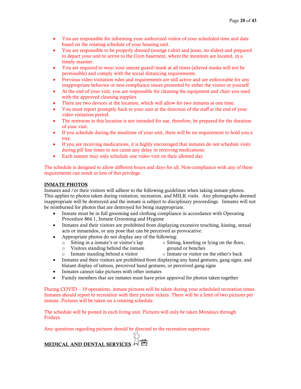- You are responsible for informing your authorized visitor of your scheduled time and date based on the rotating schedule of your housing unit.
- You are responsible to be properly dressed (orange t-shirt and jeans, no slides) and prepared to depart your unit to arrive to the Gym basement, where the monitors are located, in a timely manner.
- You are required to wear your sneeze guard/mask at all times (altered masks will not be permissible) and comply with the social distancing requirements.
- Previous video visitation rules and requirements are still active and are enforceable for any inappropriate behavior or non-compliance issues presented by either the visitor or yourself.
- At the end of your visit, you are responsible for cleaning the equipment and chair you used with the approved cleaning supplies.
- There are two devices at the location, which will allow for two inmates at one time.
- You must report promptly back to your unit at the direction of the staff at the end of your video visitation period.
- The restroom in this location is not intended for use, therefore, be prepared for the duration of your visit.
- If you schedule during the mealtime of your unit, there will be no requirement to hold you a tray.
- If you are receiving medications, it is highly encouraged that inmates do not schedule visits during pill line times to not cause any delay in receiving medications.
- Each inmate may only schedule one video visit on their allotted day.

The schedule is designed to allow different hours and days for all. Non-compliance with any of these requirements can result in loss of this privilege.

# INMATE PHOTOS

Inmates and /or their visitors will adhere to the following guidelines when taking inmate photos. This applies to photos taken during visitation, recreation, and MILK visits. Any photographs deemed inappropriate will be destroyed and the inmate is subject to disciplinary proceedings. Inmates will not be reimbursed for photos that are destroyed for being inappropriate.

- Inmate must be in full grooming and clothing compliance in accordance with Operating Procedure 864.1, Inmate Grooming and Hygiene
- Inmates and their visitors are prohibited from displaying excessive touching, kissing, sexual acts or innuendos, or any pose that can be perceived as provocative.
- Appropriate photos do not display any of the following:
	- o Sitting in a inmate's or visitor's lap
- o Sitting, kneeling or lying on the floor, ground or benches
- o Visitors standing behind the inmate Inmate standing behind a visitor
- o Inmate or visitor on the other's back
- Inmates and their visitors are prohibited from displaying any hand gestures, gang signs, and blatant display of tattoos, perceived hand gestures, or perceived gang signs
- Inmates cannot take pictures with other inmates
- Family members that are inmates must have prior approval for photos taken together

During COVID – 19 operations, inmate pictures will be taken during your scheduled recreation times. Inmates should report to recreation with their picture tickets. There will be a limit of two pictures per inmate. Pictures will be taken on a rotating schedule.

The schedule will be posted in each living unit. Pictures will only be taken Mondays through Fridays.

 $\mathcal{S}$ 

Any questions regarding pictures should be directed to the recreation supervisor.

|  | MEDICAL AND DENTAL SERVICES A |  |  |
|--|-------------------------------|--|--|
|--|-------------------------------|--|--|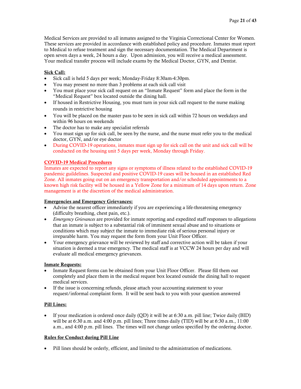Medical Services are provided to all inmates assigned to the Virginia Correctional Center for Women. These services are provided in accordance with established policy and procedure. Inmates must report to Medical to refuse treatment and sign the necessary documentation. The Medical Department is open seven days a week, 24 hours a day. Upon admission, you will receive a medical assessment. Your medical transfer process will include exams by the Medical Doctor, GYN, and Dentist.

# Sick Call:

- Sick call is held 5 days per week; Monday-Friday 8:30am-4:30pm.
- You may present no more than 3 problems at each sick call visit
- You must place your sick call request on an "Inmate Request" form and place the form in the "Medical Request" box located outside the dining hall.
- If housed in Restrictive Housing, you must turn in your sick call request to the nurse making rounds in restrictive housing
- You will be placed on the master pass to be seen in sick call within 72 hours on weekdays and within 96 hours on weekends
- The doctor has to make any specialist referrals
- You must sign up for sick call, be seen by the nurse, and the nurse must refer you to the medical doctor, GYN, and/or eye doctor
- During COVID-19 operations, inmates must sign up for sick call on the unit and sick call will be conducted on the housing unit 5 days per week, Monday through Friday.

# COVID-19 Medical Procedures

Inmates are expected to report any signs or symptoms of illness related to the established COVID-19 pandemic guildelines. Suspected and positive COVID-19 cases will be housed in an established Red Zone. All inmates going out on an emergency transportation and/or scheduled appointments to a known high risk facility will be housed in a Yellow Zone for a minimum of 14 days upon return. Zone management is at the discretion of the medical administration.

#### Emergencies and Emergency Grievances:

- Advise the nearest officer immediately if you are experiencing a life-threatening emergency (difficulty breathing, chest pain, etc.).
- *Emergency Grievances* are provided for inmate reporting and expedited staff responses to allegations that an inmate is subject to a substantial risk of imminent sexual abuse and to situations or conditions which may subject the inmate to immediate risk of serious personal injury or irreparable harm. You may request the form from your Unit Floor Officer.
- Your emergency grievance will be reviewed by staff and corrective action will be taken if your situation is deemed a true emergency. The medical staff is at VCCW 24 hours per day and will evaluate all medical emergency grievances.

#### Inmate Requests:

- Inmate Request forms can be obtained from your Unit Floor Officer. Please fill them out completely and place them in the medical request box located outside the dining hall to request medical services.
- If the issue is concerning refunds, please attach your accounting statement to your request/informal complaint form. It will be sent back to you with your question answered

#### Pill Lines:

• If your medication is ordered once daily (QD) it will be at 6:30 a.m. pill line; Twice daily (BID) will be at 6:30 a.m. and 4:00 p.m. pill lines; Three times daily (TID) will be at 6:30 a.m., 11:00 a.m., and 4:00 p.m. pill lines. The times will not change unless specified by the ordering doctor.

# Rules for Conduct during Pill Line

• Pill lines should be orderly, efficient, and limited to the administration of medications.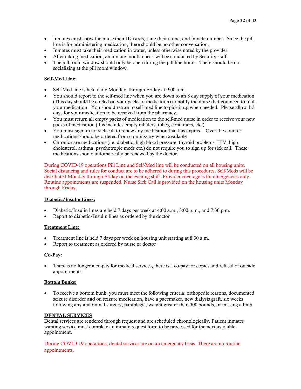- Inmates must show the nurse their ID cards, state their name, and inmate number. Since the pill line is for administering medication, there should be no other conversation.
- Inmates must take their medication in water, unless otherwise noted by the provider.
- After taking medication, an inmate mouth check will be conducted by Security staff.
- The pill room window should only be open during the pill line hours. There should be no socializing at the pill room window.

## Self-Med Line:

- Self-Med line is held daily Monday through Friday at 9:00 a.m.
- You should report to the self-med line when you are down to an 8 day supply of your medication (This day should be circled on your packs of medication) to notify the nurse that you need to refill your medication. You should return to self-med line to pick it up when needed. Please allow 1-3 days for your medication to be received from the pharmacy.
- You must return all empty packs of medication to the self-med nurse in order to receive your new packs of medication (this includes empty inhalers, tubes, containers, etc.)
- You must sign up for sick call to renew any medication that has expired. Over-the-counter medications should be ordered from commissary when available
- Chronic care medications (i.e. diabetic, high blood pressure, thyroid problems, HIV, high cholesterol, asthma, psychotropic meds etc.) do not require you to sign up for sick call. These medications should automatically be renewed by the doctor.

During COVID-19 operations Pill Line and Self-Med line will be conducted on all housing units. Social distancing and rules for conduct are to be adhered to during this procedures. Self-Meds will be distributed Monday through Friday on the evening shift. Provider coverage is for emergencies only. Routine appointments are suspended. Nurse Sick Call is provided on the housing units Monday through Friday.

#### Diabetic/Insulin Lines:

- Diabetic/Insulin lines are held 7 days per week at  $4:00$  a.m.,  $3:00$  p.m., and  $7:30$  p.m.
- Report to diabetic/Insulin lines as ordered by the doctor

#### Treatment Line:

- Treatment line is held 7 days per week on housing unit starting at 8:30 a.m.
- Report to treatment as ordered by nurse or doctor

#### Co-Pay:

• There is no longer a co-pay for medical services, there is a co-pay for copies and refusal of outside appointments.

#### Bottom Bunks:

• To receive a bottom bunk, you must meet the following criteria: orthopedic reasons, documented seizure disorder and on seizure medication, have a pacemaker, new dialysis graft, six weeks following any abdominal surgery, paraplegia, weight greater than 300 pounds, or missing a limb.

## DENTAL SERVICES

Dental services are rendered through request and are scheduled chronologically. Patient inmates wanting service must complete an inmate request form to be processed for the next available appointment.

During COVID-19 operations, dental services are on an emergency basis. There are no routine appointments.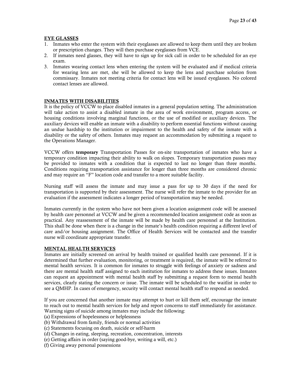#### EYE GLASSES

- 1. Inmates who enter the system with their eyeglasses are allowed to keep them until they are broken or prescription changes. They will then purchase eyeglasses from VCE.
- 2. If inmates need glasses, they will have to sign up for sick call in order to be scheduled for an eye exam.
- 3. Inmates wearing contact lens when entering the system will be evaluated and if medical criteria for wearing lens are met, she will be allowed to keep the lens and purchase solution from commissary. Inmates not meeting criteria for contact lens will be issued eyeglasses. No colored contact lenses are allowed.

# INMATES WITH DISABILITIES

It is the policy of VCCW to place disabled inmates in a general population setting. The administration will take action to assist a disabled inmate in the area of work environment, program access, or housing conditions involving marginal functions, or the use of modified or auxiliary devices. The auxiliary devices will enable an inmate with a disability to perform essential functions without causing an undue hardship to the institution or impairment to the health and safety of the inmate with a disability or the safety of others. Inmates may request an accommodation by submitting a request to the Operations Manager.

VCCW offers temporary Transportation Passes for on-site transportation of inmates who have a temporary condition impacting their ability to walk on slopes. Temporary transportation passes may be provided to inmates with a condition that is expected to last no longer than three months. Conditions requiring transportation assistance for longer than three months are considered chronic and may require an "F" location code and transfer to a more suitable facility.

Nursing staff will assess the inmate and may issue a pass for up to 30 days if the need for transportation is supported by their assessment. The nurse will refer the inmate to the provider for an evaluation if the assessment indicates a longer period of transportation may be needed.

Inmates currently in the system who have not been given a location assignment code will be assessed by health care personnel at VCCW and be given a recommended location assignment code as soon as practical. Any reassessment of the inmate will be made by health care personnel at the Institution. This shall be done when there is a change in the inmate's health condition requiring a different level of care and/or housing assignment. The Office of Health Services will be contacted and the transfer nurse will coordinate appropriate transfer.

#### MENTAL HEALTH SERVICES

Inmates are initially screened on arrival by health trained or qualified health care personnel. If it is determined that further evaluation, monitoring, or treatment is required, the inmate will be referred to mental health services. It is common for inmates to struggle with feelings of anxiety or sadness and there are mental health staff assigned to each institution for inmates to address these issues. Inmates can request an appointment with mental health staff by submitting a request form to mental health services, clearly stating the concern or issue. The inmate will be scheduled to the waitlist in order to see a QMHP. In cases of emergency, security will contact mental health staff to respond as needed.

If you are concerned that another inmate may attempt to hurt or kill them self, encourage the inmate to reach out to mental health services for help and report concerns to staff immediately for assistance. Warning signs of suicide among inmates may include the following:

- (a) Expressions of hopelessness or helplessness
- (b) Withdrawal from family, friends or normal activities
- (c) Statements focusing on death, suicide or self-harm
- (d) Changes in eating, sleeping, recreation, concentration, interests
- (e) Getting affairs in order (saying good-bye, writing a will, etc.)
- (f) Giving away personal possessions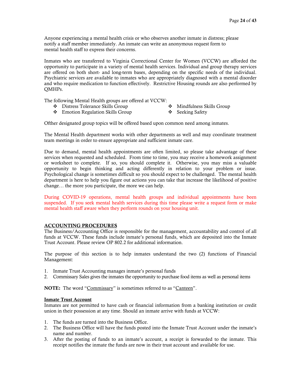Anyone experiencing a mental health crisis or who observes another inmate in distress; please notify a staff member immediately. An inmate can write an anonymous request form to mental health staff to express their concerns.

Inmates who are transferred to Virginia Correctional Center for Women (VCCW) are afforded the opportunity to participate in a variety of mental health services. Individual and group therapy services are offered on both short- and long-term bases, depending on the specific needs of the individual. Psychiatric services are available to inmates who are appropriately diagnosed with a mental disorder and who require medication to function effectively. Restrictive Housing rounds are also performed by QMHPs.

The following Mental Health groups are offered at VCCW:

- Distress Tolerance Skills Group
- Mindfulness Skills Group
- Emotion Regulation Skills Group
- ❖ Seeking Safety
- 

Ofther designated group topics will be offered based upon common need among inmates.

The Mental Health department works with other departments as well and may coordinate treatment team meetings in order to ensure appropriate and sufficient inmate care.

Due to demand, mental health appointments are often limited, so please take advantage of these services when requested and scheduled. From time to time, you may receive a homework assignment or worksheet to complete. If so, you should complete it. Otherwise, you may miss a valuable opportunity to begin thinking and acting differently in relation to your problem or issue. Psychological change is sometimes difficult so you should expect to be challenged. The mental health department is here to help you figure out actions you can take that increase the likelihood of positive change… the more you participate, the more we can help.

During COVID-19 operations, mental health groups and individual appointments have been suspended. If you seek mental health services during this time please write a request form or make mental health staff aware when they perform rounds on your housing unit.

## ACCOUNTING PROCEDURES

The Business/Accounting Office is responsible for the management, accountability and control of all funds at VCCW. These funds include inmate's personal funds, which are deposited into the Inmate Trust Account. Please review OP 802.2 for additional information.

The purpose of this section is to help inmates understand the two (2) functions of Financial Management:

- 1. Inmate Trust Accounting manages inmate's personal funds
- 2. Commissary Sales gives the inmates the opportunity to purchase food items as well as personal items

NOTE: The word "Commissary" is sometimes referred to as "Canteen".

#### Inmate Trust Account

Inmates are not permitted to have cash or financial information from a banking institution or credit union in their possession at any time. Should an inmate arrive with funds at VCCW:

- 1. The funds are turned into the Business Office.
- 2. The Business Office will have the funds posted into the Inmate Trust Account under the inmate's name and number.
- 3. After the posting of funds to an inmate's account, a receipt is forwarded to the inmate. This receipt notifies the inmate the funds are now in their trust account and available for use.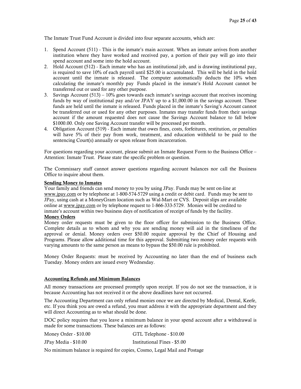The Inmate Trust Fund Account is divided into four separate accounts, which are:

- 1. Spend Account (511) This is the inmate's main account. When an inmate arrives from another institution where they have worked and received pay, a portion of their pay will go into their spend account and some into the hold account.
- 2. Hold Account (512) Each inmate who has an institutional job, and is drawing institutional pay, is required to save 10% of each payroll until \$25.00 is accumulated. This will be held in the hold account until the inmate is released. The computer automatically deducts the 10% when calculating the inmate's monthly pay Funds placed in the inmate's Hold Account cannot be transferred out or used for any other purpose.
- 3. Savings Account  $(513) 10\%$  goes towards each inmate's savings account that receives incoming funds by way of institutional pay and/or JPAY up to a \$1,000.00 in the savings account. These funds are held until the inmate is released. Funds placed in the inmate's Saving's Account cannot be transferred out or used for any other purposes. Inmates may transfer funds from their savings account if the amount requested does not cause the Savings Account balance to fall below \$1000.00. Only one Saving Account transfer will be processed per month.
- 4. Obligation Account (519) Each inmate that owes fines, costs, forfeitures, restitution, or penalties will have 5% of their pay from work, treatment, and education withheld to be paid to the sentencing Court(s) annually or upon release from incarceration.

For questions regarding your account, please submit an Inmate Request Form to the Business Office – Attention: Inmate Trust. Please state the specific problem or question.

The Commissary staff cannot answer questions regarding account balances nor call the Business Office to inquire about them.

#### Sending Money to Inmates

Your family and friends can send money to you by using JPay. Funds may be sent on-line at [www.jpay.com](http://www.jpay.com/) or by telephone at 1-800-574-5729 using a credit or debit card. Funds may be sent to JPay, using cash at a MoneyGram location such as Wal-Mart or CVS. Deposit slips are available online a[t www.jpay.com](http://www.jpay.com/) or by telephone request to 1-866-333-5729. Monies will be credited to inmate's account within two business days of notification of receipt of funds by the facility.

#### Money Orders

Money order requests must be given to the floor officer for submission to the Business Office. Complete details as to whom and why you are sending money will aid in the timeliness of the approval or denial. Money orders over \$50.00 require approval by the Chief of Housing and Programs. Please allow additional time for this approval. Submitting two money order requests with varying amounts to the same person as means to bypass the \$50.00 rule is prohibited.

Money Order Requests: must be received by Accounting no later than the end of business each Tuesday. Money orders are issued every Wednesday.

#### Accounting Refunds and Minimum Balances

All money transactions are processed promptly upon receipt. If you do not see the transaction, it is because Accounting has not received it or the above deadlines have not occurred.

The Accounting Department can only refund monies once we are directed by Medical, Dental, Keefe, etc. If you think you are owed a refund, you must address it with the appropriate department and they will direct Accounting as to what should be done.

DOC policy requires that you leave a minimum balance in your spend account after a withdrawal is made for some transactions. These balances are as follows:

| Money Order - \$10.00 | GTL Telephone - \$10.00      |
|-----------------------|------------------------------|
| JPay Media - \$10.00  | Institutional Fines - \$5.00 |

No minimum balance is required for copies, Cosmo, Legal Mail and Postage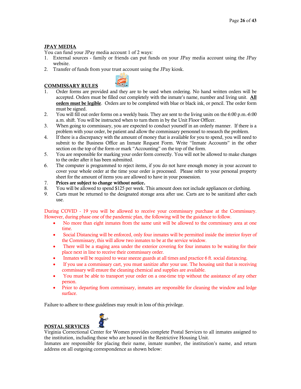# JPAY MEDIA

You can fund your JPay media account 1 of 2 ways:

- 1. External sources family or friends can put funds on your JPay media account using the JPay website.
- 2. Transfer of funds from your trust account using the JPay kiosk.



- 1. Order forms are provided and they are to be used when ordering. No hand written orders will be accepted. Orders must be filled out completely with the inmate's name, number and living unit. All orders must be legible. Orders are to be completed with blue or black ink, or pencil. The order form must be signed.
- 2. You will fill out order forms on a weekly basis. They are sent to the living units on the 6:00 p.m.-6:00 a.m. shift. You will be instructed when to turn them in by the Unit Floor Officer.
- 3. When going to commissary, you are expected to conduct yourself in an orderly manner. If there is a problem with your order, be patient and allow the commissary personnel to research the problem.
- 4. If there is a discrepancy with the amount of money that is available for you to spend, you will need to submit to the Business Office an Inmate Request Form. Write "Inmate Accounts" in the other section on the top of the form or mark "Accounting" on the top of the form.
- 5. You are responsible for marking your order form correctly. You will not be allowed to make changes to the order after it has been submitted.
- 6. The computer is programmed to reject items, if you do not have enough money in your account to cover your whole order at the time your order is processed. Please refer to your personal property sheet for the amount of items you are allowed to have in your possession.
- 7. Prices are subject to change without notice.
- 8. You will be allowed to spend \$125 per week. This amount does not include appliances or clothing.
- 9. Carts must be returned to the designated storage area after use. Carts are to be sanitized after each use.

During COVID - 19 you will be allowed to receive your commissary purchase at the Commissary. However, during phase one of the pandemic plan, the following will be the guidance to follow.

- No more than eight inmates from the same unit will be allowed to the commissary area at one time.
- Social Distancing will be enforced, only four inmates will be permitted inside the interior foyer of the Commissary, this will allow two inmates to be at the service window.
- There will be a staging area under the exterior covering for four inmates to be waiting for their place next in line to receive their commissary order.
- Inmates will be required to wear sneeze guards at all times and practice 6 ft. social distancing.
- If you use a commissary cart, you must sanitize after your use. The housing unit that is receiving commissary will ensure the cleaning chemical and supplies are available.
- You must be able to transport your order on a one-time trip without the assistance of any other person.
- Prior to departing from commissary, inmates are responsible for cleaning the window and ledge surface.

Failure to adhere to these guidelines may result in loss of this privilege.



#### POSTAL SERVICES Virginia Correctional Center for Women provides complete Postal Services to all inmates assigned to the institution, including those who are housed in the Restrictive Housing Unit.

Inmates are responsible for placing their name, inmate number, the institution's name, and return address on all outgoing correspondence as shown below:

# COMMISSARY RULES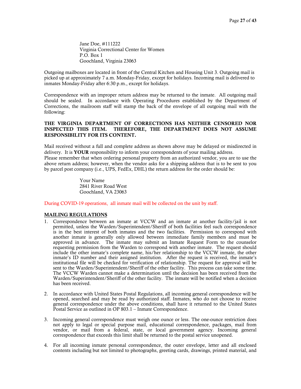Jane Doe, #111222 Virginia Correctional Center for Women P.O. Box 1 Goochland, Virginia 23063

Outgoing mailboxes are located in front of the Central Kitchen and Housing Unit 3. Outgoing mail is picked up at approximately 7 a.m. Monday-Friday, except for holidays. Incoming mail is delivered to inmates Monday-Friday after 6:30 p.m., except for holidays.

Correspondence with an improper return address may be returned to the inmate. All outgoing mail should be sealed. In accordance with Operating Procedures established by the Department of Corrections, the mailroom staff will stamp the back of the envelope of all outgoing mail with the following:

#### THE VIRGINIA DEPARTMENT OF CORRECTIONS HAS NEITHER CENSORED NOR INSPECTED THIS ITEM. THEREFORE, THE DEPARTMENT DOES NOT ASSUME RESPONSIBILITY FOR ITS CONTENT.

Mail received without a full and complete address as shown above may be delayed or misdirected in delivery. It is **YOUR** responsibility to inform your correspondents of your mailing address. Please remember that when ordering personal property from an authorized vendor, you are to use the above return address; however, when the vendor asks for a shipping address that is to be sent to you by parcel post company (i.e., UPS, FedEx, DHL) the return address for the order should be:

> Your Name 2841 River Road West Goochland, VA 23063

During COVID-19 operations, all inmate mail will be collected on the unit by staff.

#### MAILING REGULATIONS

- 1. Correspondence between an inmate at VCCW and an inmate at another facility/jail is not permitted, unless the Warden/Superintendent/Sheriff of both facilities feel such correspondence is in the best interest of both inmates and the two facilities. Permission to correspond with another inmate is generally only allowed between immediate family members and must be approved in advance. The inmate may submit an Inmate Request Form to the counselor requesting permission from the Warden to correspond with another inmate. The request should include the other inmate's complete name, his/her relationship to the VCCW inmate, the other inmate's ID number and their assigned institution. After the request is received, the inmate's institutional file will be checked for verification of relationship. The request for approval will be sent to the Warden/Superintendent/Sheriff of the other facility. This process can take some time. The VCCW Warden cannot make a determination until the decision has been received from the Warden/Superintendent/Sheriff of the other facility. The inmate will be notified when a decision has been received.
- 2. In accordance with United States Postal Regulations, all incoming general correspondence will be opened, searched and may be read by authorized staff. Inmates, who do not choose to receive general correspondence under the above conditions, shall have it returned to the United States Postal Service as outlined in OP 803.1 – Inmate Correspondence.
- 3. Incoming general correspondence must weigh one ounce or less. The one-ounce restriction does not apply to legal or special purpose mail, educational correspondence, packages, mail from vendor, or mail from a federal, state, or local government agency. Incoming general correspondence that exceeds this limit shall be returned to the postal service unopened.
- 4. For all incoming inmate personal correspondence, the outer envelope, letter and all enclosed contents including but not limited to photographs, greeting cards, drawings, printed material, and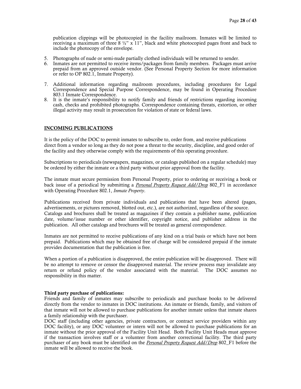publication clippings will be photocopied in the facility mailroom. Inmates will be limited to receiving a maximum of three  $8\frac{1}{2}$ " x 11", black and white photocopied pages front and back to include the photocopy of the envelope.

- 5. Photographs of nude or semi-nude partially clothed individuals will be returned to sender.
- 6. Inmates are not permitted to receive items/packages from family members. Packages must arrive prepaid from an approved outside vendor. (See Personal Property Section for more information or refer to OP 802.1, Inmate Property).
- 7. Additional information regarding mailroom procedures, including procedures for Legal Correspondence and Special Purpose Correspondence, may be found in Operating Procedure 803.1 Inmate Correspondence.
- 8. It is the inmate's responsibility to notify family and friends of restrictions regarding incoming cash, checks and prohibited photographs. Correspondence containing threats, extortion, or other illegal activity may result in prosecution for violation of state or federal laws.

#### INCOMING PUBLICATIONS

It is the policy of the DOC to permit inmates to subscribe to, order from, and receive publications direct from a vendor so long as they do not pose a threat to the security, discipline, and good order of the facility and they otherwise comply with the requirements of this operating procedure.

Subscriptions to periodicals (newspapers, magazines, or catalogs published on a regular schedule) may be ordered by either the inmate or a third party without prior approval from the facility.

The inmate must secure permission from Personal Property, prior to ordering or receiving a book or back issue of a periodical by submitting a *[Personal Property Request Add/Drop](https://docnet.cov.virginia.gov/VirtualLibrary_v1/Current/800/802/802_Forms/802_F1.docx)* 802\_F1 in accordance with Operating Procedure 802.1, *Inmate Property*.

Publications received from private individuals and publications that have been altered (pages, advertisements, or pictures removed, blotted out, etc.), are not authorized, regardless of the source. Catalogs and brochures shall be treated as magazines if they contain a publisher name, publication date, volume/issue number or other identifier, copyright notice, and publisher address in the publication. All other catalogs and brochures will be treated as general correspondence.

Inmates are not permitted to receive publications of any kind on a trial basis or which have not been prepaid. Publications which may be obtained free of charge will be considered prepaid if the inmate provides documentation that the publication is free.

When a portion of a publication is disapproved, the entire publication will be disapproved. There will be no attempt to remove or censor the disapproved material. The review process may invalidate any return or refund policy of the vendor associated with the material. The DOC assumes no responsibility in this matter.

#### Third party purchase of publications:

Friends and family of inmates may subscribe to periodicals and purchase books to be delivered directly from the vendor to inmates in DOC institutions. An inmate or friends, family, and visitors of that inmate will not be allowed to purchase publications for another inmate unless that inmate shares a family relationship with the purchaser.

DOC staff (including other agencies, private contractors, or contract service providers within any DOC facility), or any DOC volunteer or intern will not be allowed to purchase publications for an inmate without the prior approval of the Facility Unit Head. Both Facility Unit Heads must approve if the transaction involves staff or a volunteer from another correctional facility. The third party purchaser of any book must be identified on the *[Personal Property Request Add/Drop](https://docnet.cov.virginia.gov/VirtualLibrary_v1/Current/800/802/802_Forms/802_F1.docx)* 802\_F1 before the inmate will be allowed to receive the book.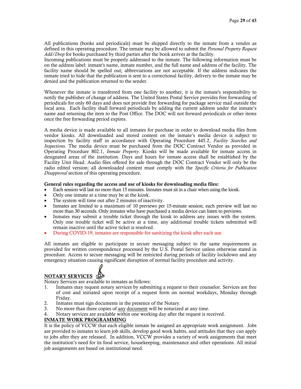All publications (books and periodicals) must be shipped directly to the inmate from a vendor as defined in this operating procedure. The inmate may be allowed to submit the *Personal Property Request Add/Drop* for books purchased by third parties after the book arrives at the facility.

Incoming publications must be properly addressed to the inmate. The following information must be on the address label: inmate's name, inmate number, and the full name and address of the facility. The facility name should be spelled out; abbreviations are not acceptable. If the address indicates the inmate tried to hide that the publication is sent to a correctional facility, delivery to the inmate may be denied and the publication returned to the sender.

Whenever the inmate is transferred from one facility to another, it is the inmate's responsibility to notify the publisher of change of address. The United States Postal Service provides free forwarding of periodicals for only 60 days and does not provide free forwarding for package service mail outside the local area. Each facility shall forward periodicals by adding the current address under the inmate's name and returning the item to the Post Office. The DOC will not forward periodicals or other items once the free forwarding period expires.

A media device is made available to all inmates for purchase in order to download media files from vendor kiosks. All downloaded and stored content on the inmate's media device is subject to inspection by facility staff in accordance with Operating Procedure 445.2, *Facility Searches and Inspections*. The media device must be purchased from the DOC Contract Vendor as provided in Operating Procedure 802.1, *Inmate Property*. Kiosks will be made available for inmate access in designated areas of the institution. Days and hours for inmate access shall be established by the Facility Unit Head. Audio files offered for sale through the DOC Contract Vendor will only be the radio edited version; all downloaded content must comply with the *Specific Criteria for Publication Disapproval* section of this operating procedure.

#### General rules regarding the access and use of kiosks for downloading media files:

- Each session will last no more than 15 minutes. Inmates must sit in a chair when using the kiosk.
- Only one inmate at a time may be at the kiosk.
- The system will time out after 2 minutes of inactivity.
- Inmates are limited to a maximum of 10 previews per 15-minute session; each preview will last no more than 30 seconds. Only inmates who have purchased a media device can listen to previews.
- Inmates may submit a trouble ticket through the kiosk to address any issues with the system. Only one trouble ticket will be active at a time, any additional trouble tickets submitted will remain inactive until the active ticket is resolved.
- During COVID-19, inmates are responsible for sanitizing the kiosk after each use.

All inmates are eligible to participate in secure messaging subject to the same requirements as provided for written correspondence processed by the U.S. Postal Service unless otherwise stated in procedure. Access to secure messaging will be restricted during periods of facility lockdown and any emergency situation causing significant disruption of normal facility procedure and activity.

# NOTARY SERVICES :

Notary Services are available to inmates as follows:

- 1. Inmates may request notary services by submitting a request to their counselor. Services are free of cost and initiated upon receipt of a request form on normal workdays, Monday through Friday.
- 2. Inmates must sign documents in the presence of the Notary.
- 3. No more than three copies of any document will be notarized at any time.
- 4. Notary services are available within one working day after the request is received.

#### INMATE WORK PROGRAMMING

It is the policy of VCCW that each eligible inmate be assigned an appropriate work assignment. Jobs are provided to inmates to learn job skills, develop good work habits, and attitudes that they can apply to jobs after they are released. In addition, VCCW provides a variety of work assignments that meet the institution's need for its food service, housekeeping, maintenance and other operations. All initial job assignments are based on institutional need.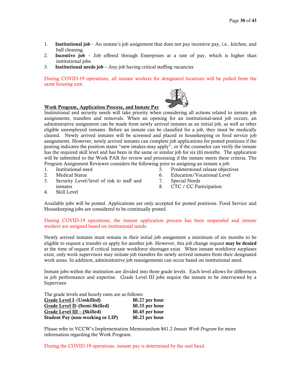- 1. Institutional job An inmate's job assignment that does not pay incentive pay, i.e., kitchen, and hall cleaning.
- 2. Incentive job Job offered through Enterprises at a rate of pay, which is higher than institutional jobs.
- 3. Institutional needs job Any job having critical staffing vacancies

During COVID-19 operations, all inmate workers for designated locations will be pulled from the same housing unit.

#### Work Program, Application Process, and Inmate Pay

Institutional and security needs will take priority when considering all actions related to inmate job assignments, transfers and removals. When an opening for an institutional-need job occurs, an administrative assignment can be made from newly arrived inmates as an initial job, as well as other eligible unemployed inmates. Before an inmate can be classified for a job, they must be medically cleared. Newly arrived inmates will be screened and placed in housekeeping or food service job assignments. However, newly arrived inmates can complete job applications for posted positions if the posting indicates the position states "new intakes may apply", or if the counselor can verify the inmate has the required skill level and has been in the same or similar job for six (6) months. The application will be submitted to the Work PAR for review and processing if the inmate meets these criteria. The Program Assignment Reviewer considers the following prior to assigning an inmate a job:

- 1. Institutional need
- 2. Medical Status
- 3. Security Level/level of risk to staff and inmates
- 5. Predetermined release objectives
- 6. Education/Vocational Level
- 7. Special Needs
- 8. CTC / CC Participation

4. Skill Level

Available jobs will be posted. Applications are only accepted for posted positions. Food Service and Housekeeping jobs are considered to be continually posted.

During COVID-19 operations, the inmate application process has been suspended and inmate workers are assigned based on institutional needs.

Newly arrived inmates must remain in their initial job assignment a minimum of six months to be eligible to request a transfer or apply for another job. However, this job change request may be denied at the time of request if critical inmate workforce shortages exist. When inmate workforce surpluses exist, only work supervisors may initiate job transfers for newly arrived inmates from their designated work areas. In addition, administrative job reassignments can occur based on institutional need.

Inmate jobs within the institution are divided into three grade levels. Each level allows for differences in job performance and expertise. Grade Level III jobs require the inmate to be interviewed by a Supervisor

The grade levels and hourly rates are as follows:

| Grade Level I-(Unskilled)               | $$0.27$ per hour |
|-----------------------------------------|------------------|
| Grade Level II-(Semi-Skilled)           | $$0.35$ per hour |
| Grade Level $III - (Skilled)$           | $$0.45$ per hour |
| <b>Student Pay (non-working or LIP)</b> | $$0.23$ per hour |

Please refer to VCCW's Implementation Memorandum 841.2 *Inmate Work Program* for more information regarding the Work Program.

During the COVID-19 operations, inmate pay is determined by the unit head.

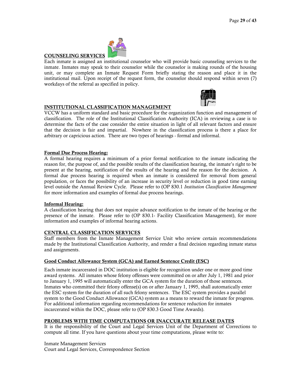

COUNSELING SERVICES Each inmate is assigned an institutional counselor who will provide basic counseling services to the inmate. Inmates may speak to their counselor while the counselor is making rounds of the housing unit, or may complete an Inmate Request Form briefly stating the reason and place it in the institutional mail. Upon receipt of the request form, the counselor should respond within seven (7) workdays of the referral as specified in policy.



# INSTITUTIONAL CLASSIFICATION MANAGEMENT

VCCW has a uniform standard and basic procedure for the organization function and management of classification. The role of the Institutional Classification Authority (ICA) in reviewing a case is to determine the facts of the case consider the entire situation in light of all relevant factors and ensure that the decision is fair and impartial. Nowhere in the classification process is there a place for arbitrary or capricious action. There are two types of hearings - formal and informal.

# Formal Due Process Hearing:

A formal hearing requires a minimum of a prior formal notification to the inmate indicating the reason for, the purpose of, and the possible results of the classification hearing, the inmate's right to be present at the hearing, notification of the results of the hearing and the reason for the decision. A formal due process hearing is required when an inmate is considered for removal from general population, or faces the possibility of an increase in security level or reduction in good time earning level outside the Annual Review Cycle. Please refer to (OP 830.1 *Institution Classification Management* for more information and examples of formal due process hearings.

#### Informal Hearing:

A classification hearing that does not require advance notification to the inmate of the hearing or the presence of the inmate. Please refer to (OP 830.1- Facility Classification Management), for more information and examples of informal hearing actions.

#### CENTRAL CLASSIFICATION SERVICES

Staff members from the Inmate Management Service Unit who review certain recommendations made by the Institutional Classification Authority, and render a final decision regarding inmate status and assignments.

#### Good Conduct Allowance System (GCA) and Earned Sentence Credit (ESC)

Each inmate incarcerated in DOC institution is eligible for recognition under one or more good time award systems. All inmates whose felony offenses were committed on or after July 1, 1981 and prior to January 1, 1995 will automatically enter the GCA system for the duration of those sentences. Inmates who committed their felony offense(s) on or after January 1, 1995, shall automatically enter the ESC system for the duration of all such felony sentences. The ESC system provides a parallel system to the Good Conduct Allowance (GCA) system as a means to reward the inmate for progress. For additional information regarding recommendations for sentence reduction for inmates incarcerated within the DOC, please refer to (OP 830.3 Good Time Awards).

# PROBLEMS WITH TIME COMPUTATIONS OR INACCURATE RELEASE DATES

It is the responsibility of the Court and Legal Services Unit of the Department of Corrections to compute all time. If you have questions about your time computations, please write to:

Inmate Management Services Court and Legal Services, Correspondence Section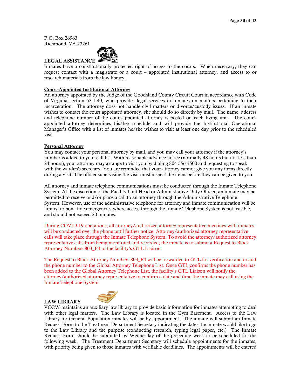P.O. Box 26963 Richmond, VA 23261



Inmates have a constitutionally protected right of access to the courts. When necessary, they can request contact with a magistrate or a court – appointed institutional attorney, and access to or research materials from the law library.

## Court-Appointed Institutional Attorney

An attorney appointed by the Judge of the Goochland County Circuit Court in accordance with Code of Virginia section 53.1-40, who provides legal services to inmates on matters pertaining to their incarceration. The attorney does not handle civil matters or divorce/custody issues. If an inmate wishes to contact the court appointed attorney, she should do so directly by mail. The name, address and telephone number of the court-appointed attorney is posted on each living unit. The courtappointed attorney determines his/her schedule and will provide the Institutional Operational Manager's Office with a list of inmates he/she wishes to visit at least one day prior to the scheduled visit.

#### Personal Attorney

You may contact your personal attorney by mail, and you may call your attorney if the attorney's number is added to your call list. With reasonable advance notice (normally 48 hours but not less than 24 hours), your attorney may arrange to visit you by dialing 804-556-7500 and requesting to speak with the warden's secretary. You are reminded that your attorney cannot give you any items directly during a visit. The officer supervising the visit must inspect the items before they can be given to you.

All attorney and inmate telephone communications must be conducted through the Inmate Telephone System. At the discretion of the Facility Unit Head or Administrative Duty Officer, an inmate may be permitted to receive and/or place a call to an attorney through the Administrative Telephone System. However, use of the administrative telephone for attorney and inmate communication will be limited to bona fide emergencies where access through the Inmate Telephone System is not feasible, and should not exceed 20 minutes.

During COVID-19 operations, all attorney/authorized attorney representative meetings with inmates will be conducted over the phone until further notice. Attorney/authorized attorney representative calls will take place through the Inmate Telephone System. To avoid the attorney/authorized attorney representative calls from being monitored and recorded, the inmate is to submit a Request to Block Attorney Numbers 803\_F4 to the facility's GTL Liaison.

The Request to Block Attorney Numbers 803\_F4 will be forwarded to GTL for verification and to add the phone number to the Global Attorney Telephone List. Once GTL confirms the phone number has been added to the Global Attorney Telephone List, the facility's GTL Liaison will notify the attorney/authorized attorney representative to confirm a date and time the inmate may call using the Inmate Telephone System.

#### LAW LIBRARY



VCCW maintains an auxiliary law library to provide basic information for inmates attempting to deal with other legal matters. The Law Library is located in the Gym Basement. Access to the Law Library for General Population inmates will be by appointment. The inmate will submit an Inmate Request Form to the Treatment Department Secretary indicating the dates the inmate would like to go to the Law Library and the purpose (conducting research, typing legal paper, etc.) The Inmate Request Form should be submitted by Wednesday of the preceding week to be scheduled for the following week. The Treatment Department Secretary will schedule appointments for the inmates, with priority being given to those inmates with verifiable deadlines. The appointments will be entered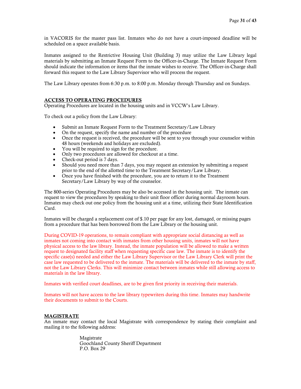in VACORIS for the master pass list. Inmates who do not have a court-imposed deadline will be scheduled on a space available basis.

Inmates assigned to the Restrictive Housing Unit (Building 3) may utilize the Law Library legal materials by submitting an Inmate Request Form to the Officer-in-Charge. The Inmate Request Form should indicate the information or items that the inmate wishes to receive. The Officer-in-Charge shall forward this request to the Law Library Supervisor who will process the request.

The Law Library operates from 6:30 p.m. to 8:00 p.m. Monday through Thursday and on Sundays.

# ACCESS TO OPERATING PROCEDURES

Operating Procedures are located in the housing units and in VCCW's Law Library.

To check out a policy from the Law Library:

- Submit an Inmate Request Form to the Treatment Secretary/Law Library
- Submit an Inmate Request Form to the Treatment Secretary/L<br>• On the request, specify the name and number of the procedure
- Once the request is received, the procedure will be sent to you through your counselor within 48 hours (weekends and holidays are excluded).
- You will be required to sign for the procedure.
- Only two procedures are allowed for checkout at a time.
- Check-out period is 7 days.
- Should you need more than 7 days, you may request an extension by submitting a request prior to the end of the allotted time to the Treatment Secretary/Law Library.
- Once you have finished with the procedure, you are to return it to the Treatment Secretary/Law Library by way of the counselor.

The 800-series Operating Procedures may be also be accessed in the housing unit. The inmate can request to view the procedures by speaking to their unit floor officer during normal dayroom hours. Inmates may check out one policy from the housing unit at a time, utilizing their State Identification Card.

Inmates will be charged a replacement cost of \$.10 per page for any lost, damaged, or missing pages from a procedure that has been borrowed from the Law Library or the housing unit.

During COVID-19 operations, to remain compliant with appropriate social distancing as well as inmates not coming into contact with inmates from other housing units, inmates will not have physical access to the law library. Instead, the inmate population will be allowed to make a written request to designated facility staff when requesting specific case law. The inmate is to identify the specific case(s) needed and either the Law Library Supervisor or the Law Library Clerk will print the case law requested to be delivered to the inmate. The materials will be delivered to the inmate by staff, not the Law Library Clerks. This will minimize contact between inmates while still allowing access to materials in the law library.

Inmates with verified court deadlines, are to be given first priority in receiving their materials.

Inmates will not have access to the law library typewriters during this time. Inmates may handwrite their documents to submit to the Courts.

# MAGISTRATE

An inmate may contact the local Magistrate with correspondence by stating their complaint and mailing it to the following address:

> Magistrate Goochland County Sheriff Department P.O. Box 29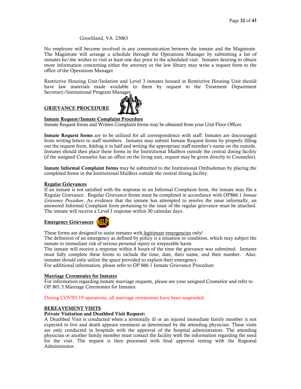#### Goochland, VA 23063

No employee will become involved in any communication between the inmate and the Magistrate. The Magistrate will arrange a schedule through the Operations Manager by submitting a list of inmates he/she wishes to visit at least one day prior to the scheduled visit. Inmates desiring to obtain more information concerning either the attorney or the law library may write a request form to the office of the Operations Manager.

Restrictive Housing Unit/Isolation and Level 3 inmates housed in Restrictive Housing Unit should have law materials made available to them by request to the Treatment Department Secretary/Institutional Program Manager.

# GRIEVANCE PROCEDURE



# Inmate Request/Inmate Complaint Procedure

Inmate Request forms and Written Complaint forms may be obtained from your Unit Floor Officer.

Inmate Request forms are to be utilized for all correspondence with staff. Inmates are discouraged from writing letters to staff members. Inmates may submit Inmate Request forms by properly filling out the request form, folding it in half and writing the appropriate staff member's name on the outside. Inmates should then place these forms in the Institutional Mailbox outside the central dining facility (if the assigned Counselor has an office on the living unit, request may be given directly to Counselor).

Inmate Informal Complaint forms may be submitted to the Institutional Ombudsman by placing the completed forms in the Institutional Mailbox outside the central dining facility.

#### Regular Grievances

If an inmate is not satisfied with the response to an Informal Complaint form, the inmate may file a Regular Grievance. Regular Grievance forms must be completed in accordance with OP866.1 *Inmate Grievance Procedure*. As evidence that the inmate has attempted to resolve the issue informally, an answered Informal Complaint form pertaining to the issue of the regular grievance must be attached. The inmate will receive a Level I response within 30 calendar days.

#### Emergency Grievances



These forms are designed to assist inmates with legitimate emergencies only!

The definition of an emergency as defined by policy is a situation or condition, which may subject the inmate to immediate risk of serious personal injury or irreparable harm.

The inmate will receive a response within 8 hours of the time the grievance was submitted. Inmates must fully complete these forms to include the time, date, their name, and their number. Also, inmates should only utilize the space provided to explain their emergency.

For additional information, please refer to OP 866.1 Inmate Grievance Procedure.

#### Marriage Ceremonies for Inmates

For information regarding inmate marriage requests, please see your assigned Counselor and refer to OP 801.5 Marriage Ceremonies for Inmates.

During COVID-19 operations, all marriage ceremonies have been suspended.

#### BEREAVEMENT VISITS

#### Private Visitation and Deathbed Visit Request:

A Deathbed Visit is conducted when a terminally ill or an injured immediate family member is not expected to live and death appears imminent as determined by the attending physician. These visits are only conducted in hospitals with the approval of the hospital administrators. The attending physician or another family member must contact the facility with the information regarding the need for the visit. The request is then processed with final approval resting with the Regional Administrator.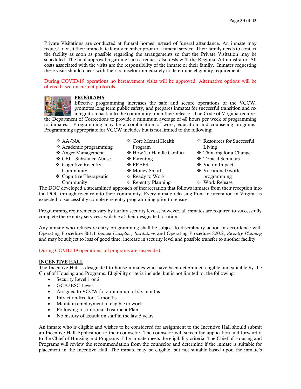Private Visitations are conducted at funeral homes instead of funeral attendance. An inmate may request to visit their immediate family member prior to a funeral service. Their family needs to contact the facility as soon as possible regarding the arrangements so that the Private Visitation may be scheduled. The final approval regarding such a request also rests with the Regional Administrator. All costs associated with the visits are the responsibility of the inmate or their family. Inmates requesting these visits should check with their counselor immediately to determine eligibility requirements.

During COVID-19 operations no bereavement visits will be approved. Alternative options will be offered based on current protocols.



# PROGRAMS

Effective programming increases the safe and secure operations of the VCCW, promotes long term public safety, and prepares inmates for successful transition and reintegration back into the community upon their release. The Code of Virginia requires

the Department of Corrections to provide a minimum average of 40 hours per week of programming to inmates. Programming may be a combination of work, education and counseling programs. Programming appropriate for VCCW includes but is not limited to the following:

- AA/NA
- Academic programming
- Anger Management
- CBI Substance Abuse
- Cognitive Re-entry
- Community Cognitive Therapeutic Community
- Core Mental Health Program
- ❖ How To Handle Conflict
- ❖ Parenting
- **❖ PREPS**
- Money Smart
- Ready to Work
- ❖ Re-entry Planning
- ❖ Resources for Successful Living
- Thinking for a Change
- Topical Seminars
- Victim Impact
- Vocational/work programming
- Work Release

The DOC developed a streamlined approach of incarceration that follows inmates from their reception into the DOC through re-entry into their community. Every inmate releasing from incarceration in Virginia is expected to successfully complete re-entry programming prior to release.

Programming requirements vary by facility security levels; however, all inmates are required to successfully complete the re-entry services available at their designated location.

Any inmate who refuses re-entry programming shall be subject to disciplinary action in accordance with Operating Procedure 861.1 *Inmate Discipline, Institutions* and Operating Procedure 820.2, *Re-entry Planning* and may be subject to loss of good time, increase in security level and possible transfer to another facility.

#### During COVID-19 operations, all programs are suspended.

#### INCENTIVE HALL

The Incentive Hall is designated to house inmates who have been determined eligible and suitable by the Chief of Housing and Programs. Eligibility criteria include, but is not limited to, the following:

- Security Level 1 or 2
- GCA/ESC Level I
- Assigned to VCCW for a minimum of six months
- Infraction-free for 12 months
- Maintain employment, if eligible to work
- Following Institutional Treatment Plan
- No history of assault on staff in the last 5 years

An inmate who is eligible and wishes to be considered for assignment to the Incentive Hall should submit an Incentive Hall Application to their counselor. The counselor will screen the application and forward it to the Chief of Housing and Programs if the inmate meets the eligibility criteria. The Chief of Housing and Programs will review the recommendation from the counselor and determine if the inmate is suitable for placement in the Incentive Hall. The inmate may be eligible, but not suitable based upon the inmate's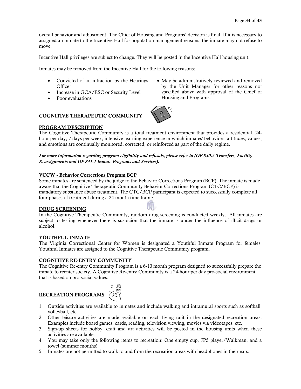overall behavior and adjustment. The Chief of Housing and Programs' decision is final. If it is necessary to assigned an inmate to the Incentive Hall for population management reasons, the inmate may not refuse to move.

Incentive Hall privileges are subject to change. They will be posted in the Incentive Hall housing unit.

Inmates may be removed from the Incentive Hall for the following reasons:

- Convicted of an infraction by the Hearings **Officer**
- Increase in GCA/ESC or Security Level
- Poor evaluations

• May be administratively reviewed and removed by the Unit Manager for other reasons not specified above with approval of the Chief of Housing and Programs.

# COGNITIVE THERAPEUTIC COMMUNITY

#### PROGRAM DESCRIPTION

The Cognitive Therapeutic Community is a total treatment environment that provides a residential, 24 hour-per-day, 7 days per week, intensive learning experience in which inmates' behaviors, attitudes, values, and emotions are continually monitored, corrected, or reinforced as part of the daily regime.

#### *For more information regarding program eligibility and refusals, please refer to (OP 830.5 Transfers, Facility Reassignments and OP 841.1 Inmate Programs and Services).*

#### VCCW - Behavior Corrections Program BCP

Some inmates are sentenced by the judge to the Behavior Corrections Program (BCP). The inmate is made aware that the Cognitive Therapeutic Community Behavior Corrections Program (CTC/BCP) is mandatory substance abuse treatment. The CTC/BCP participant is expected to successfully complete all four phases of treatment during a 24 month time frame.

#### DRUG SCREENING

In the Cognitive Therapeutic Community, random drug screening is conducted weekly. All inmates are subject to testing whenever there is suspicion that the inmate is under the influence of illicit drugs or alcohol.

#### YOUTHFUL INMATE

.

The Virginia Correctional Center for Women is designated a Youthful Inmate Program for females. Youthful Inmates are assigned to the Cognitive Therapeutic Community program.

#### COGNITIVE RE-ENTRY COMMUNITY

The Cognitive Re-entry Community Program is a 6-10 month program designed to successfully prepare the inmate to reenter society. A Cognitive Re-entry Community is a 24-hour per day pro-social environment that is based on pro-social values.



- 1. Outside activities are available to inmates and include walking and intramural sports such as softball, volleyball, etc.
- 2. Other leisure activities are made available on each living unit in the designated recreation areas. Examples include board games, cards, reading, television viewing, movies via videotapes, etc.
- 3. Sign-up sheets for hobby, craft and art activities will be posted in the housing units when these activities are available.
- 4. You may take only the following items to recreation: One empty cup, JP5 player/Walkman, and a towel (summer months).
- 5. Inmates are not permitted to walk to and from the recreation areas with headphones in their ears.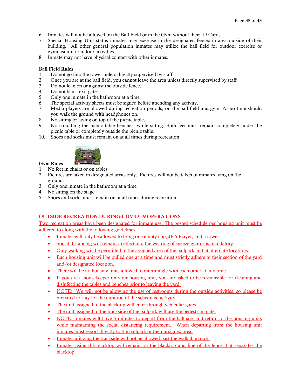- 6. Inmates will not be allowed on the Ball Field or in the Gym without their ID Cards.
- 7. Special Housing Unit status inmates may exercise in the designated fenced-in area outside of their building. All other general population inmates may utilize the ball field for outdoor exercise or gymnasium for indoor activities.
- 8. Inmate may not have physical contact with other inmates.

# Ball Field Rules

- 1. Do not go into the tower unless directly supervised by staff.
- 2. Once you are at the ball field, you cannot leave the area unless directly supervised by staff.
- 3. Do not lean on or against the outside fence.
- 4. Do not block exit gates
- 5. Only one inmate in the bathroom at a time
- 6. The special activity sheets must be signed before attending any activity.
- 7. Media players are allowed during recreation periods, on the ball field and gym. At no time should you walk the ground with headphones on.
- 8. No sitting or laying on top of the picnic tables.
- 9. No straddling the picnic table benches, while sitting. Both feet must remain completely under the picnic table or completely outside the picnic table.
- 10. Shoes and socks must remain on at all times during recreation.



# Gym Rules

- 1. No feet in chairs or on tables
- 2. Pictures are taken in designated areas only. Pictures will not be taken of inmates lying on the ground.
- 3. Only one inmate in the bathroom at a time
- 4. No sitting on the stage
- 5. Shoes and socks must remain on at all times during recreation.

# OUTSIDE RECREATION DURING COVID-19 OPERATIONS

Two recreation areas have been designated for inmate use. The posted schedule per housing unit must be adhered to along with the following guidelines:

- Inmates will only be allowed to bring one empty cup, JP 5 Player, and a towel.
- Social distancing will remain in effect and the wearing of sneeze guards is mandatory.
- Only walking will be permitted in the assigned area of the ballpark and at alternate locations.
- Each housing unit will be pulled one at a time and must strictly adhere to their section of the yard and/or designated location.
- There will be no housing units allowed to intermingle with each other at any time.
- If you are a housekeeper on your housing unit, you are asked to be responsible for cleaning and disinfecting the tables and benches prior to leaving the yard.
- NOTE: We will not be allowing the use of restrooms during the outside activities, so please be prepared to stay for the duration of the scheduled activity.
- The unit assigned to the blacktop will enter through vehicular gates.
- The unit assigned to the trackside of the ballpark will use the pedestrian gate.
- NOTE: Inmates will have 5 minutes to depart from the ballpark and return to the housing units while maintaining the social distancing requirement. When departing from the housing unit inmates must report directly to the ballpark or their assigned area.
- Inmates utilizing the trackside will not be allowed past the walkable track.
- Inmates using the blacktop will remain on the blacktop and line of the fence that separates the blacktop.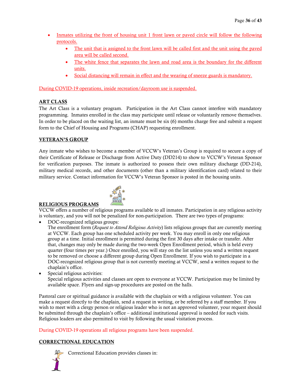- Inmates utilizing the front of housing unit 1 front lawn or paved circle will follow the following protocols.
	- The unit that is assigned to the front lawn will be called first and the unit using the paved area will be called second.
	- The white fence that separates the lawn and road area is the boundary for the different units.
	- Social distancing will remain in effect and the wearing of sneeze guards is mandatory.

During COVID-19 operations, inside recreation/dayroom use is suspended.

# ART CLASS

The Art Class is a voluntary program. Participation in the Art Class cannot interfere with mandatory programming. Inmates enrolled in the class may participate until release or voluntarily remove themselves. In order to be placed on the waiting list, an inmate must be six (6) months charge free and submit a request form to the Chief of Housing and Programs (CHAP) requesting enrollment.

# VETERAN'S GROUP

Any inmate who wishes to become a member of VCCW's Veteran's Group is required to secure a copy of their Certificate of Release or Discharge from Active Duty (DD214) to show to VCCW's Veteran Sponsor for verification purposes. The inmate is authorized to possess their own military discharge (DD-214), military medical records, and other documents (other than a military identification card) related to their military service. Contact information for VCCW's Veteran Sponsor is posted in the housing units.



# RELIGIOUS PROGRAMS

VCCW offers a number of religious programs available to all inmates. Participation in any religious activity is voluntary, and you will not be penalized for non-participation. There are two types of programs:

• DOC-recognized religious groups:

The enrollment form (*Request to Attend Religious Activity*) lists religious groups that are currently meeting at VCCW. Each group has one scheduled activity per week. You may enroll in only one religious group at a time. Initial enrollment is permitted during the first 30 days after intake or transfer. After that, changes may only be made during the two-week Open Enrollment period, which is held every quarter (four times per year.) Once enrolled, you will stay on the list unless you send a written request to be removed or choose a different group during Open Enrollment. If you wish to participate in a DOC-recognized religious group that is not currently meeting at VCCW, send a written request to the chaplain's office.

Special religious activities: Special religious activities and classes are open to everyone at VCCW. Participation may be limited by available space. Flyers and sign-up procedures are posted on the halls.

Pastoral care or spiritual guidance is available with the chaplain or with a religious volunteer. You can make a request directly to the chaplain, send a request in writing, or be referred by a staff member. If you wish to meet with a clergy person or religious leader who is not an approved volunteer, your request should be submitted through the chaplain's office – additional institutional approval is needed for such visits. Religious leaders are also permitted to visit by following the usual visitation process.

During COVID-19 operations all religious programs have been suspended.

# CORRECTIONAL EDUCATION



Correctional Education provides classes in: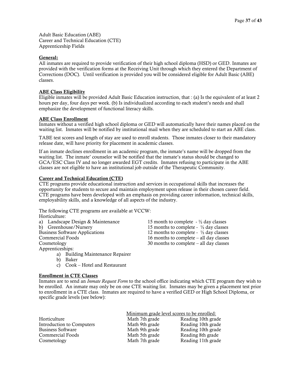Adult Basic Education (ABE) Career and Technical Education (CTE) Apprenticeship Fields

#### General:

All inmates are required to provide verification of their high school diploma (HSD) or GED. Inmates are provided with the verification forms at the Receiving Unit through which they entered the Department of Corrections (DOC). Until verification is provided you will be considered eligible for Adult Basic (ABE) classes.

#### ABE Class Eligibility

Eligible inmates will be provided Adult Basic Education instruction, that : (a) Is the equivalent of at least 2 hours per day, four days per week. (b) Is individualized according to each student's needs and shall emphasize the development of functional literacy skills.

#### ABE Class Enrollment

Inmates without a verified high school diploma or GED will automatically have their names placed on the waiting list. Inmates will be notified by institutional mail when they are scheduled to start an ABE class.

TABE test scores and length of stay are used to enroll students. Those inmates closer to their mandatory release date, will have priority for placement in academic classes.

If an inmate declines enrollment in an academic program, the inmate's name will be dropped from the waiting list. The inmate' counselor will be notified that the inmate's status should be changed to GCA/ESC Class IV and no longer awarded EGT credits. Inmates refusing to participate in the ABE classes are not eligible to have an institutional job outside of the Therapeutic Community.

#### Career and Technical Education (CTE)

CTE programs provide educational instruction and services in occupational skills that increases the opportunity for students to secure and maintain employment upon release in their chosen career field. CTE programs have been developed with an emphasis on providing career information, technical skills, employability skills, and a knowledge of all aspects of the industry.

The following CTE programs are available at VCCW:

Horticulture:

| 15 month to complete $ \frac{1}{2}$ day classes   |
|---------------------------------------------------|
| 15 months to complete - $\frac{1}{2}$ day classes |
| 12 months to complete - $\frac{1}{2}$ day classes |
| 16 months to complete $-$ all day classes         |
| 30 months to complete $-$ all day classes         |
|                                                   |
|                                                   |

- a) Building Maintenance Repairer
- b) Baker
- c) Cook Hotel and Restaurant

#### Enrollment in CTE Classes

Inmates are to send an *Inmate Request Form* to the school office indicating which CTE program they wish to be enrolled. An inmate may only be on one CTE waiting list. Inmates may be given a placement test prior to enrollment in a CTE class. Inmates are required to have a verified GED or High School Diploma, or specific grade levels (see below):

|                           |                | Minimum grade level scores to be enrolled: |
|---------------------------|----------------|--------------------------------------------|
| Horticulture              | Math 7th grade | Reading 10th grade                         |
| Introduction to Computers | Math 9th grade | Reading 10th grade                         |
| <b>Business Software</b>  | Math 9th grade | Reading 10th grade                         |
| Commercial Foods          | Math 5th grade | Reading 8th grade                          |
| Cosmetology               | Math 7th grade | Reading 11th grade                         |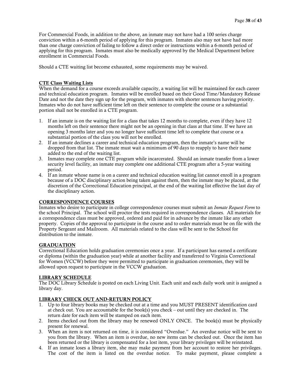For Commercial Foods, in addition to the above, an inmate may not have had a 100 series charge conviction within a 6-month period of applying for this program. Inmates also may not have had more than one charge conviction of failing to follow a direct order or instructions within a 6-month period of applying for this program. Inmates must also be medically approved by the Medical Department before enrollment in Commercial Foods.

Should a CTE waiting list become exhausted, some requirements may be waived.

#### CTE Class Waiting Lists

When the demand for a course exceeds available capacity, a waiting list will be maintained for each career and technical education program. Inmates will be enrolled based on their Good Time/Mandatory Release Date and not the date they sign up for the program, with inmates with shorter sentences having priority. Inmates who do not have sufficient time left on their sentence to complete the course or a substantial portion shall not be enrolled in a CTE program.

- 1. If an inmate is on the waiting list for a class that takes 12 months to complete, even if they have 12 months left on their sentence there might not be an opening in that class at that time. If we have an opening 3 months later and you no longer have sufficient time left to complete that course or a substantial portion of the class you will not be enrolled.
- 2. If an inmate declines a career and technical education program, then the inmate's name will be dropped from that list. The inmate must wait a minimum of 90 days to reapply to have their name added to the end of the waiting list.
- 3. Inmates may complete one CTE program while incarcerated. Should an inmate transfer from a lower security level facility, an inmate may complete one additional CTE program after a 5-year waiting period.
- 4. If an inmate whose name is on a career and technical education waiting list cannot enroll in a program because of a DOC disciplinary action being taken against them, then the inmate may be placed, at the discretion of the Correctional Education principal, at the end of the waiting list effective the last day of the disciplinary action.

#### CORRESPONDENCE COURSES

Inmates who desire to participate in college correspondence courses must submit an *Inmate Request Form* to the school Principal. The school will proctor the tests required in correspondence classes. All materials for a correspondence class must be approved, ordered and paid for in advance by the inmate like any other property. Copies of the approval to participate in the course and to order materials must be on file with the Property Sergeant and Mailroom. All materials related to the class will be sent to the School for distribution to the inmate.

#### GRADUATION

Correctional Education holds graduation ceremonies once a year. If a participant has earned a certificate or diploma (within the graduation year) while at another facility and transferred to Virginia Correctional for Women (VCCW) before they were permitted to participate in graduation ceremonies, they will be allowed upon request to participate in the VCCW graduation.

#### LIBRARY SCHEDULE

The DOC Library Schedule is posted on each Living Unit. Each unit and each daily work unit is assigned a library day.

#### LIBRARY CHECK OUT AND-RETURN POLICY

- 1. Up to four library books may be checked out at a time and you MUST PRESENT identification card at check out. You are accountable for the book(s) you check – out until they are checked in. The return date for each item will be stamped on each item.
- 2. Items checked out from the library may be renewed ONLY ONCE. The book(s) must be physically present for renewal.
- 3. When an item is not returned on time, it is considered "Overdue." An overdue notice will be sent to you from the library. When an item is overdue, no new items can be checked out. Once the item has been returned or the library is compensated for a lost item, your library privileges will be reinstated.
- 4. If an inmate loses a library item, she may make payment from her account to restore her privileges. The cost of the item is listed on the overdue notice. To make payment, please complete a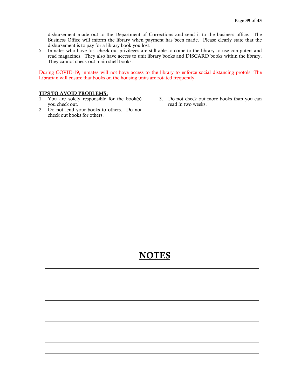disbursement made out to the Department of Corrections and send it to the business office. The Business Office will inform the library when payment has been made. Please clearly state that the disbursement is to pay for a library book you lost.

5. Inmates who have lost check out privileges are still able to come to the library to use computers and read magazines. They also have access to unit library books and DISCARD books within the library. They cannot check out main shelf books.

During COVID-19, inmates will not have access to the library to enforce social distancing protols. The Librarian will ensure that books on the housing units are rotated frequently.

#### TIPS TO AVOID PROBLEMS:

- 1. You are solely responsible for the book(s) you check out.
- 2. Do not lend your books to others. Do not check out books for others.
- 3. Do not check out more books than you can read in two weeks.

# NOTES

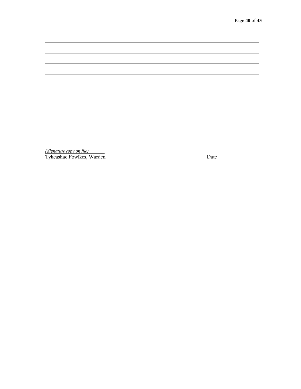*(Signature copy on file)* \_\_\_\_\_\_\_\_\_\_\_\_\_\_\_\_\_ Tykeashae Fowlkes, Warden Date